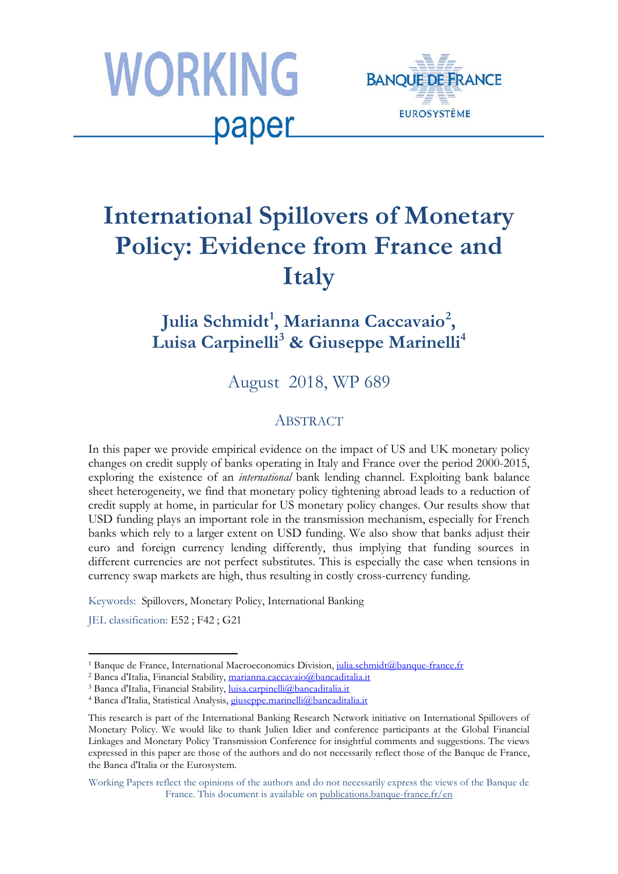



# **International Spillovers of Monetary Policy: Evidence from France and Italy**

## **Julia Schmidt[1](#page-0-0) , Marianna Caccavaio[2](#page-0-1) , Luisa Carpinelli[3](#page-0-2) & Giuseppe Marinelli[4](#page-0-3)**

August 2018, WP 689

## ABSTRACT

In this paper we provide empirical evidence on the impact of US and UK monetary policy changes on credit supply of banks operating in Italy and France over the period 2000-2015, exploring the existence of an *international* bank lending channel. Exploiting bank balance sheet heterogeneity, we find that monetary policy tightening abroad leads to a reduction of credit supply at home, in particular for US monetary policy changes. Our results show that USD funding plays an important role in the transmission mechanism, especially for French banks which rely to a larger extent on USD funding. We also show that banks adjust their euro and foreign currency lending differently, thus implying that funding sources in different currencies are not perfect substitutes. This is especially the case when tensions in currency swap markets are high, thus resulting in costly cross-currency funding.

Keywords: Spillovers, Monetary Policy, International Banking

JEL classification: E52 ; F42 ; G21

<sup>&</sup>lt;sup>1</sup> Banque de France, International Macroeconomics Division, [julia.schmidt@banque-france.fr](mailto:julia.schmidt@banque-france.fr)

<span id="page-0-1"></span><span id="page-0-0"></span><sup>2</sup> Banca d'Italia, Financial Stability, [marianna.caccavaio@bancaditalia.it](mailto:marianna.caccavaio@bancaditalia.it)

<span id="page-0-2"></span><sup>&</sup>lt;sup>3</sup> Banca d'Italia, Financial Stability, [luisa.carpinelli@bancaditalia.it](mailto:luisa.carpinelli@bancaditalia.it)

<span id="page-0-3"></span><sup>4</sup> Banca d'Italia, Statistical Analysis, [giuseppe.marinelli@bancaditalia.it](mailto:giuseppe.marinelli@bancaditalia.it)

This research is part of the International Banking Research Network initiative on International Spillovers of Monetary Policy. We would like to thank Julien Idier and conference participants at the Global Financial Linkages and Monetary Policy Transmission Conference for insightful comments and suggestions. The views expressed in this paper are those of the authors and do not necessarily reflect those of the Banque de France, the Banca d'Italia or the Eurosystem.

Working Papers reflect the opinions of the authors and do not necessarily express the views of the Banque de France. This document is available on [publications.banque-france.fr/en](https://publications.banque-france.fr/en)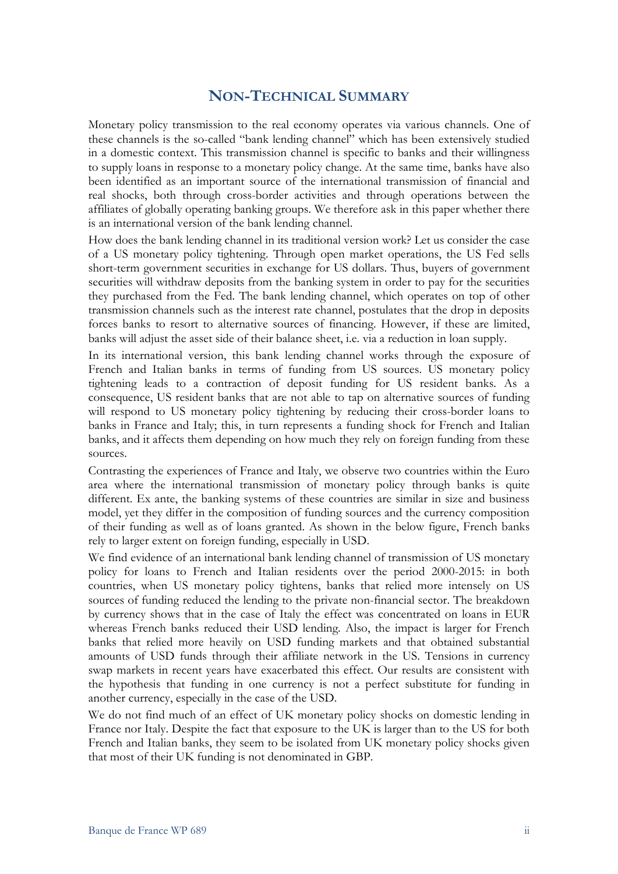## **NON-TECHNICAL SUMMARY**

Monetary policy transmission to the real economy operates via various channels. One of these channels is the so-called "bank lending channel" which has been extensively studied in a domestic context. This transmission channel is specific to banks and their willingness to supply loans in response to a monetary policy change. At the same time, banks have also been identified as an important source of the international transmission of financial and real shocks, both through cross-border activities and through operations between the affiliates of globally operating banking groups. We therefore ask in this paper whether there is an international version of the bank lending channel.

How does the bank lending channel in its traditional version work? Let us consider the case of a US monetary policy tightening. Through open market operations, the US Fed sells short-term government securities in exchange for US dollars. Thus, buyers of government securities will withdraw deposits from the banking system in order to pay for the securities they purchased from the Fed. The bank lending channel, which operates on top of other transmission channels such as the interest rate channel, postulates that the drop in deposits forces banks to resort to alternative sources of financing. However, if these are limited, banks will adjust the asset side of their balance sheet, i.e. via a reduction in loan supply.

In its international version, this bank lending channel works through the exposure of French and Italian banks in terms of funding from US sources. US monetary policy tightening leads to a contraction of deposit funding for US resident banks. As a consequence, US resident banks that are not able to tap on alternative sources of funding will respond to US monetary policy tightening by reducing their cross-border loans to banks in France and Italy; this, in turn represents a funding shock for French and Italian banks, and it affects them depending on how much they rely on foreign funding from these sources.

Contrasting the experiences of France and Italy, we observe two countries within the Euro area where the international transmission of monetary policy through banks is quite different. Ex ante, the banking systems of these countries are similar in size and business model, yet they differ in the composition of funding sources and the currency composition of their funding as well as of loans granted. As shown in the below figure, French banks rely to larger extent on foreign funding, especially in USD.

We find evidence of an international bank lending channel of transmission of US monetary policy for loans to French and Italian residents over the period 2000-2015: in both countries, when US monetary policy tightens, banks that relied more intensely on US sources of funding reduced the lending to the private non-financial sector. The breakdown by currency shows that in the case of Italy the effect was concentrated on loans in EUR whereas French banks reduced their USD lending. Also, the impact is larger for French banks that relied more heavily on USD funding markets and that obtained substantial amounts of USD funds through their affiliate network in the US. Tensions in currency swap markets in recent years have exacerbated this effect. Our results are consistent with the hypothesis that funding in one currency is not a perfect substitute for funding in another currency, especially in the case of the USD.

We do not find much of an effect of UK monetary policy shocks on domestic lending in France nor Italy. Despite the fact that exposure to the UK is larger than to the US for both French and Italian banks, they seem to be isolated from UK monetary policy shocks given that most of their UK funding is not denominated in GBP.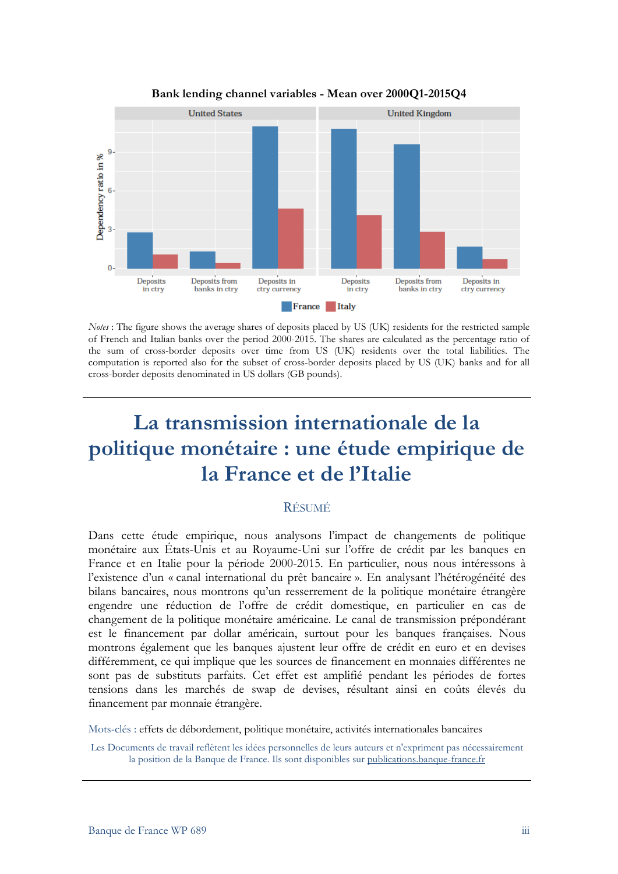

**Bank lending channel variables - Mean over 2000Q1-2015Q4**

*Notes* : The figure shows the average shares of deposits placed by US (UK) residents for the restricted sample of French and Italian banks over the period 2000-2015. The shares are calculated as the percentage ratio of the sum of cross-border deposits over time from US (UK) residents over the total liabilities. The computation is reported also for the subset of cross-border deposits placed by US (UK) banks and for all cross-border deposits denominated in US dollars (GB pounds).

## **La transmission internationale de la politique monétaire : une étude empirique de la France et de l'Italie**

### RÉSUMÉ

Dans cette étude empirique, nous analysons l'impact de changements de politique monétaire aux États-Unis et au Royaume-Uni sur l'offre de crédit par les banques en France et en Italie pour la période 2000-2015. En particulier, nous nous intéressons à l'existence d'un « canal international du prêt bancaire ». En analysant l'hétérogénéité des bilans bancaires, nous montrons qu'un resserrement de la politique monétaire étrangère engendre une réduction de l'offre de crédit domestique, en particulier en cas de changement de la politique monétaire américaine. Le canal de transmission prépondérant est le financement par dollar américain, surtout pour les banques françaises. Nous montrons également que les banques ajustent leur offre de crédit en euro et en devises différemment, ce qui implique que les sources de financement en monnaies différentes ne sont pas de substituts parfaits. Cet effet est amplifié pendant les périodes de fortes tensions dans les marchés de swap de devises, résultant ainsi en coûts élevés du financement par monnaie étrangère.

Mots-clés : effets de débordement, politique monétaire, activités internationales bancaires

Les Documents de travail reflètent les idées personnelles de leurs auteurs et n'expriment pas nécessairement la position de la Banque de France. Ils sont disponibles sur [publications.banque-france.fr](https://publications.banque-france.fr/)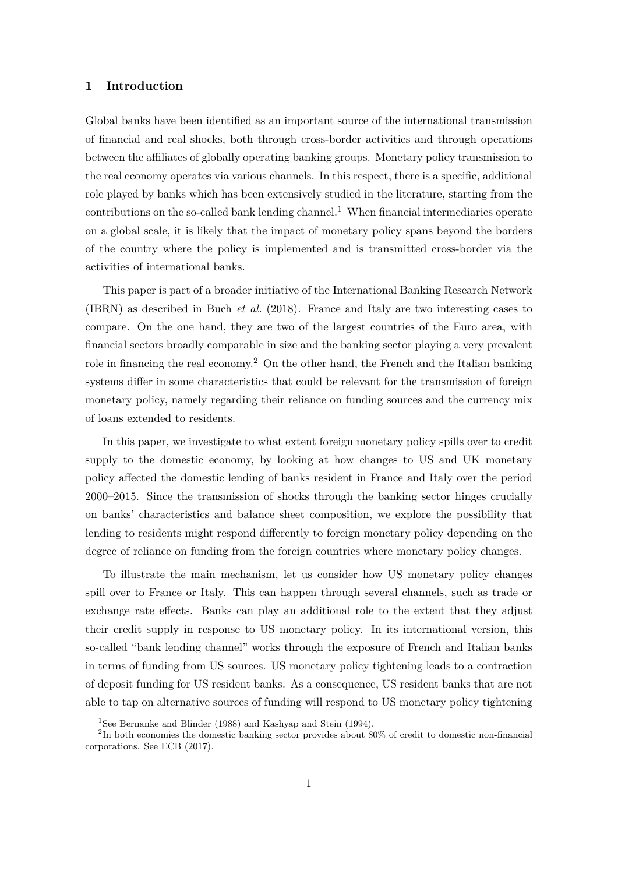#### **1 Introduction**

Global banks have been identified as an important source of the international transmission of financial and real shocks, both through cross-border activities and through operations between the affiliates of globally operating banking groups. Monetary policy transmission to the real economy operates via various channels. In this respect, there is a specific, additional role played by banks which has been extensively studied in the literature, starting from the contributions on the so-called bank lending channel.<sup>[1](#page-3-0)</sup> When financial intermediaries operate on a global scale, it is likely that the impact of monetary policy spans beyond the borders of the country where the policy is implemented and is transmitted cross-border via the activities of international banks.

This paper is part of a broader initiative of the International Banking Research Network (IBRN) as described in Buch *[et al.](#page-28-0)* [\(2018\)](#page-28-0). France and Italy are two interesting cases to compare. On the one hand, they are two of the largest countries of the Euro area, with financial sectors broadly comparable in size and the banking sector playing a very prevalent role in financing the real economy.<sup>[2](#page-3-1)</sup> On the other hand, the French and the Italian banking systems differ in some characteristics that could be relevant for the transmission of foreign monetary policy, namely regarding their reliance on funding sources and the currency mix of loans extended to residents.

In this paper, we investigate to what extent foreign monetary policy spills over to credit supply to the domestic economy, by looking at how changes to US and UK monetary policy affected the domestic lending of banks resident in France and Italy over the period 2000–2015. Since the transmission of shocks through the banking sector hinges crucially on banks' characteristics and balance sheet composition, we explore the possibility that lending to residents might respond differently to foreign monetary policy depending on the degree of reliance on funding from the foreign countries where monetary policy changes.

To illustrate the main mechanism, let us consider how US monetary policy changes spill over to France or Italy. This can happen through several channels, such as trade or exchange rate effects. Banks can play an additional role to the extent that they adjust their credit supply in response to US monetary policy. In its international version, this so-called "bank lending channel" works through the exposure of French and Italian banks in terms of funding from US sources. US monetary policy tightening leads to a contraction of deposit funding for US resident banks. As a consequence, US resident banks that are not able to tap on alternative sources of funding will respond to US monetary policy tightening

<span id="page-3-1"></span><span id="page-3-0"></span><sup>&</sup>lt;sup>1</sup>See [Bernanke and Blinder](#page-28-1) [\(1988\)](#page-28-1) and [Kashyap and Stein](#page-29-0) [\(1994\)](#page-29-0).

<sup>&</sup>lt;sup>2</sup>In both economies the domestic banking sector provides about 80% of credit to domestic non-financial corporations. See [ECB](#page-29-1) [\(2017\)](#page-29-1).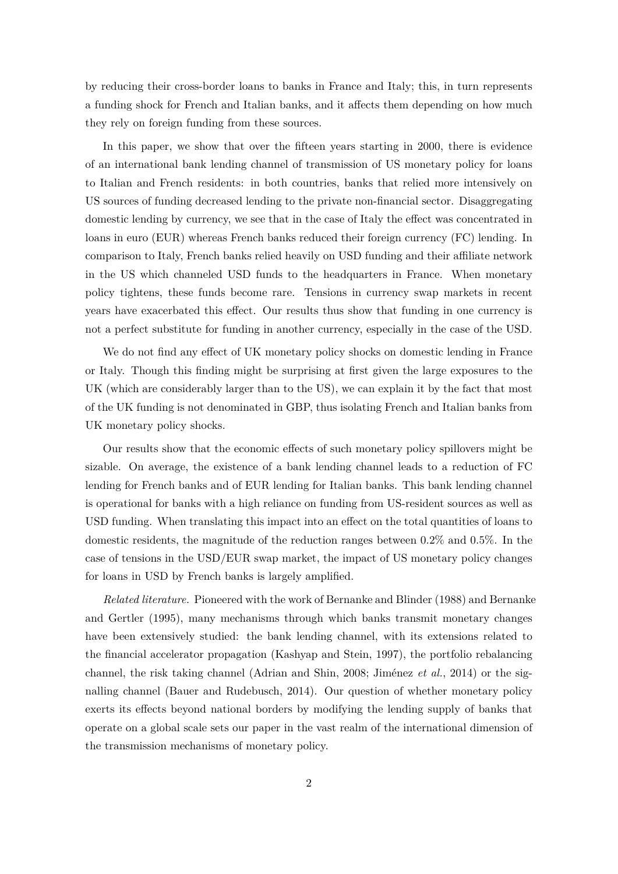by reducing their cross-border loans to banks in France and Italy; this, in turn represents a funding shock for French and Italian banks, and it affects them depending on how much they rely on foreign funding from these sources.

In this paper, we show that over the fifteen years starting in 2000, there is evidence of an international bank lending channel of transmission of US monetary policy for loans to Italian and French residents: in both countries, banks that relied more intensively on US sources of funding decreased lending to the private non-financial sector. Disaggregating domestic lending by currency, we see that in the case of Italy the effect was concentrated in loans in euro (EUR) whereas French banks reduced their foreign currency (FC) lending. In comparison to Italy, French banks relied heavily on USD funding and their affiliate network in the US which channeled USD funds to the headquarters in France. When monetary policy tightens, these funds become rare. Tensions in currency swap markets in recent years have exacerbated this effect. Our results thus show that funding in one currency is not a perfect substitute for funding in another currency, especially in the case of the USD.

We do not find any effect of UK monetary policy shocks on domestic lending in France or Italy. Though this finding might be surprising at first given the large exposures to the UK (which are considerably larger than to the US), we can explain it by the fact that most of the UK funding is not denominated in GBP, thus isolating French and Italian banks from UK monetary policy shocks.

Our results show that the economic effects of such monetary policy spillovers might be sizable. On average, the existence of a bank lending channel leads to a reduction of FC lending for French banks and of EUR lending for Italian banks. This bank lending channel is operational for banks with a high reliance on funding from US-resident sources as well as USD funding. When translating this impact into an effect on the total quantities of loans to domestic residents, the magnitude of the reduction ranges between 0.2% and 0.5%. In the case of tensions in the USD/EUR swap market, the impact of US monetary policy changes for loans in USD by French banks is largely amplified.

*Related literature.* Pioneered with the work of [Bernanke and Blinder](#page-28-1) [\(1988\)](#page-28-1) and [Bernanke](#page-28-2) [and Gertler](#page-28-2) [\(1995\)](#page-28-2), many mechanisms through which banks transmit monetary changes have been extensively studied: the bank lending channel, with its extensions related to the financial accelerator propagation [\(Kashyap and Stein,](#page-30-0) [1997\)](#page-30-0), the portfolio rebalancing channel, the risk taking channel [\(Adrian and Shin,](#page-28-3) [2008;](#page-28-3) [Jiménez](#page-29-2) *et al.*, [2014\)](#page-29-2) or the signalling channel [\(Bauer and Rudebusch,](#page-28-4) [2014\)](#page-28-4). Our question of whether monetary policy exerts its effects beyond national borders by modifying the lending supply of banks that operate on a global scale sets our paper in the vast realm of the international dimension of the transmission mechanisms of monetary policy.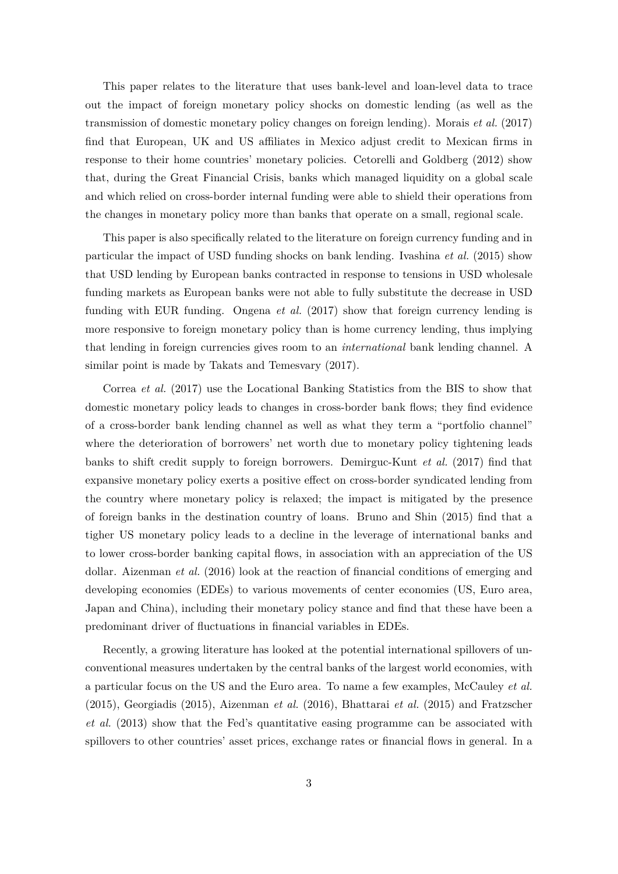This paper relates to the literature that uses bank-level and loan-level data to trace out the impact of foreign monetary policy shocks on domestic lending (as well as the transmission of domestic monetary policy changes on foreign lending). [Morais](#page-30-1) *et al.* [\(2017\)](#page-30-1) find that European, UK and US affiliates in Mexico adjust credit to Mexican firms in response to their home countries' monetary policies. [Cetorelli and Goldberg](#page-29-3) [\(2012\)](#page-29-3) show that, during the Great Financial Crisis, banks which managed liquidity on a global scale and which relied on cross-border internal funding were able to shield their operations from the changes in monetary policy more than banks that operate on a small, regional scale.

This paper is also specifically related to the literature on foreign currency funding and in particular the impact of USD funding shocks on bank lending. [Ivashina](#page-29-4) *et al.* [\(2015\)](#page-29-4) show that USD lending by European banks contracted in response to tensions in USD wholesale funding markets as European banks were not able to fully substitute the decrease in USD funding with EUR funding. [Ongena](#page-30-2) *et al.* [\(2017\)](#page-30-2) show that foreign currency lending is more responsive to foreign monetary policy than is home currency lending, thus implying that lending in foreign currencies gives room to an *international* bank lending channel. A similar point is made by [Takats and Temesvary](#page-30-3) [\(2017\)](#page-30-3).

[Correa](#page-29-5) *et al.* [\(2017\)](#page-29-5) use the Locational Banking Statistics from the BIS to show that domestic monetary policy leads to changes in cross-border bank flows; they find evidence of a cross-border bank lending channel as well as what they term a "portfolio channel" where the deterioration of borrowers' net worth due to monetary policy tightening leads banks to shift credit supply to foreign borrowers. [Demirguc-Kunt](#page-29-6) *et al.* [\(2017\)](#page-29-6) find that expansive monetary policy exerts a positive effect on cross-border syndicated lending from the country where monetary policy is relaxed; the impact is mitigated by the presence of foreign banks in the destination country of loans. [Bruno and Shin](#page-28-5) [\(2015\)](#page-28-5) find that a tigher US monetary policy leads to a decline in the leverage of international banks and to lower cross-border banking capital flows, in association with an appreciation of the US dollar. [Aizenman](#page-28-6) *et al.* [\(2016\)](#page-28-6) look at the reaction of financial conditions of emerging and developing economies (EDEs) to various movements of center economies (US, Euro area, Japan and China), including their monetary policy stance and find that these have been a predominant driver of fluctuations in financial variables in EDEs.

Recently, a growing literature has looked at the potential international spillovers of unconventional measures undertaken by the central banks of the largest world economies, with a particular focus on the US and the Euro area. To name a few examples, [McCauley](#page-30-4) *et al.* [\(2015\)](#page-30-4), [Georgiadis](#page-29-7) [\(2015\)](#page-29-7), [Aizenman](#page-28-6) *et al.* [\(2016\)](#page-28-6), [Bhattarai](#page-28-7) *et al.* [\(2015\)](#page-28-7) and [Fratzscher](#page-29-8) *[et al.](#page-29-8)* [\(2013\)](#page-29-8) show that the Fed's quantitative easing programme can be associated with spillovers to other countries' asset prices, exchange rates or financial flows in general. In a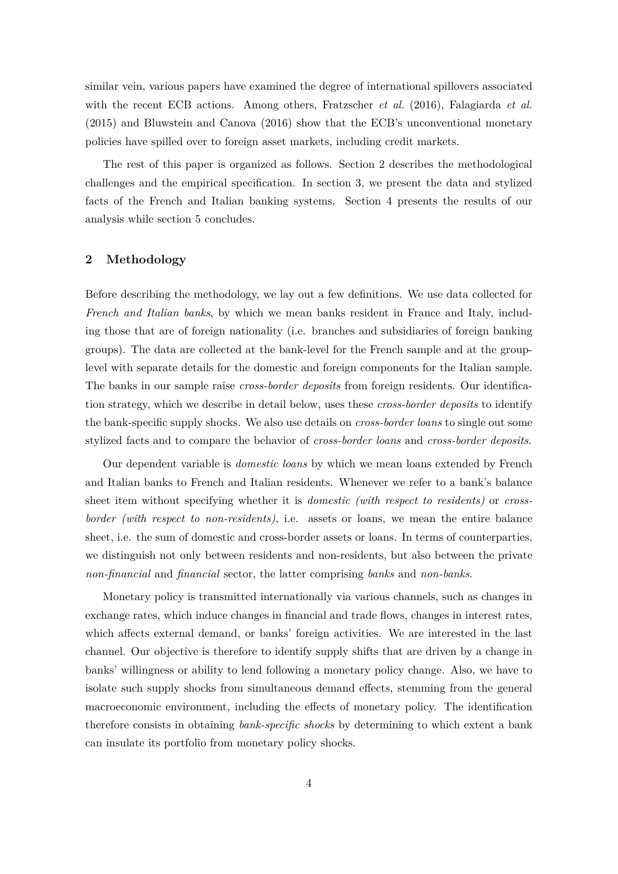similar vein, various papers have examined the degree of international spillovers associated with the recent ECB actions. Among others, [Fratzscher](#page-29-9) *et al.* [\(2016\)](#page-29-9), [Falagiarda](#page-29-10) *et al.* [\(2015\)](#page-29-10) and [Bluwstein and Canova](#page-28-8) [\(2016\)](#page-28-8) show that the ECB's unconventional monetary policies have spilled over to foreign asset markets, including credit markets.

The rest of this paper is organized as follows. Section 2 describes the methodological challenges and the empirical specification. In section 3, we present the data and stylized facts of the French and Italian banking systems. Section 4 presents the results of our analysis while section 5 concludes.

#### **2 Methodology**

Before describing the methodology, we lay out a few definitions. We use data collected for *French and Italian banks*, by which we mean banks resident in France and Italy, including those that are of foreign nationality (i.e. branches and subsidiaries of foreign banking groups). The data are collected at the bank-level for the French sample and at the grouplevel with separate details for the domestic and foreign components for the Italian sample. The banks in our sample raise *cross-border deposits* from foreign residents. Our identification strategy, which we describe in detail below, uses these *cross-border deposits* to identify the bank-specific supply shocks. We also use details on *cross-border loans* to single out some stylized facts and to compare the behavior of *cross-border loans* and *cross-border deposits*.

Our dependent variable is *domestic loans* by which we mean loans extended by French and Italian banks to French and Italian residents. Whenever we refer to a bank's balance sheet item without specifying whether it is *domestic (with respect to residents)* or *crossborder (with respect to non-residents)*, i.e. assets or loans, we mean the entire balance sheet, i.e. the sum of domestic and cross-border assets or loans. In terms of counterparties, we distinguish not only between residents and non-residents, but also between the private *non-financial* and *financial* sector, the latter comprising *banks* and *non-banks*.

Monetary policy is transmitted internationally via various channels, such as changes in exchange rates, which induce changes in financial and trade flows, changes in interest rates, which affects external demand, or banks' foreign activities. We are interested in the last channel. Our objective is therefore to identify supply shifts that are driven by a change in banks' willingness or ability to lend following a monetary policy change. Also, we have to isolate such supply shocks from simultaneous demand effects, stemming from the general macroeconomic environment, including the effects of monetary policy. The identification therefore consists in obtaining *bank-specific shocks* by determining to which extent a bank can insulate its portfolio from monetary policy shocks.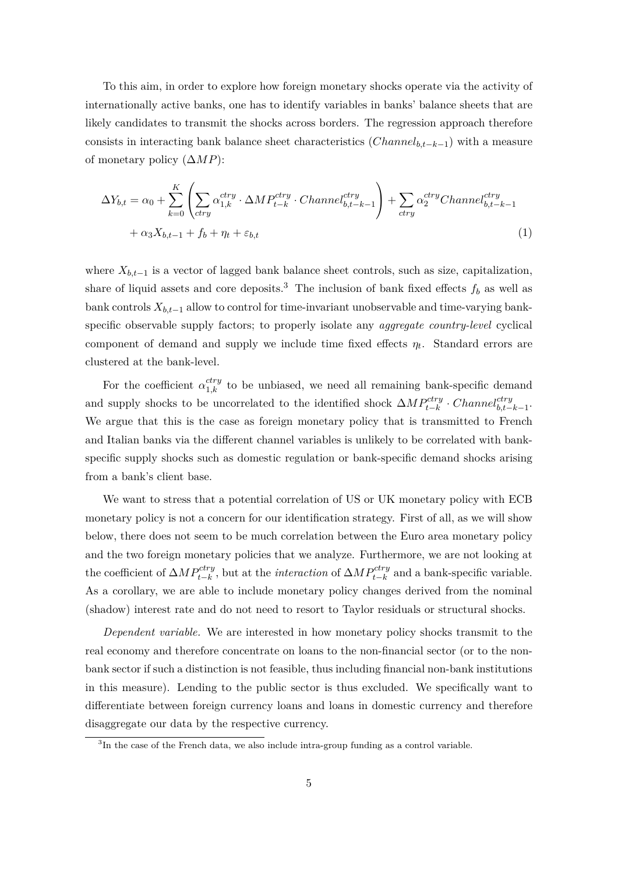To this aim, in order to explore how foreign monetary shocks operate via the activity of internationally active banks, one has to identify variables in banks' balance sheets that are likely candidates to transmit the shocks across borders. The regression approach therefore consists in interacting bank balance sheet characteristics (*Channelb,t*−*k*−1) with a measure of monetary policy (∆*MP*):

<span id="page-7-1"></span>
$$
\Delta Y_{b,t} = \alpha_0 + \sum_{k=0}^{K} \left( \sum_{ctry} \alpha_{1,k}^{ctry} \cdot \Delta MP_{t-k}^{ctry} \cdot Channel_{b,t-k-1}^{ctry} \right) + \sum_{ctry} \alpha_2^{ctry} Channel_{b,t-k-1}^{ctry} + \alpha_3 X_{b,t-1} + f_b + \eta_t + \varepsilon_{b,t}
$$
\n(1)

where  $X_{b,t-1}$  is a vector of lagged bank balance sheet controls, such as size, capitalization, share of liquid assets and core deposits.<sup>[3](#page-7-0)</sup> The inclusion of bank fixed effects  $f_b$  as well as bank controls *Xb,t*−<sup>1</sup> allow to control for time-invariant unobservable and time-varying bankspecific observable supply factors; to properly isolate any *aggregate country-level* cyclical component of demand and supply we include time fixed effects *η<sup>t</sup>* . Standard errors are clustered at the bank-level.

For the coefficient  $\alpha_{1,k}^{ctry}$  to be unbiased, we need all remaining bank-specific demand and supply shocks to be uncorrelated to the identified shock  $\Delta MP_{t-k}^{ctry} \cdot Channel_{b,t-k-1}^{ctry}$ . We argue that this is the case as foreign monetary policy that is transmitted to French and Italian banks via the different channel variables is unlikely to be correlated with bankspecific supply shocks such as domestic regulation or bank-specific demand shocks arising from a bank's client base.

We want to stress that a potential correlation of US or UK monetary policy with ECB monetary policy is not a concern for our identification strategy. First of all, as we will show below, there does not seem to be much correlation between the Euro area monetary policy and the two foreign monetary policies that we analyze. Furthermore, we are not looking at the coefficient of  $\Delta MP_{t-k}^{ctry}$ , but at the *interaction* of  $\Delta MP_{t-k}^{ctry}$  and a bank-specific variable. As a corollary, we are able to include monetary policy changes derived from the nominal (shadow) interest rate and do not need to resort to Taylor residuals or structural shocks.

*Dependent variable.* We are interested in how monetary policy shocks transmit to the real economy and therefore concentrate on loans to the non-financial sector (or to the nonbank sector if such a distinction is not feasible, thus including financial non-bank institutions in this measure). Lending to the public sector is thus excluded. We specifically want to differentiate between foreign currency loans and loans in domestic currency and therefore disaggregate our data by the respective currency.

<span id="page-7-0"></span><sup>&</sup>lt;sup>3</sup>In the case of the French data, we also include intra-group funding as a control variable.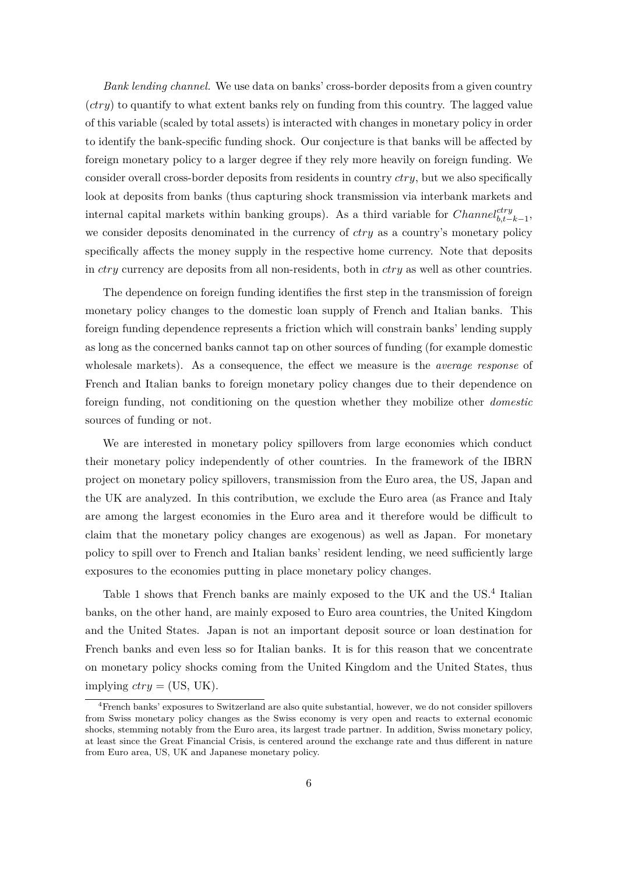*Bank lending channel.* We use data on banks' cross-border deposits from a given country (*ctry*) to quantify to what extent banks rely on funding from this country. The lagged value of this variable (scaled by total assets) is interacted with changes in monetary policy in order to identify the bank-specific funding shock. Our conjecture is that banks will be affected by foreign monetary policy to a larger degree if they rely more heavily on foreign funding. We consider overall cross-border deposits from residents in country *ctry*, but we also specifically look at deposits from banks (thus capturing shock transmission via interbank markets and internal capital markets within banking groups). As a third variable for  $Channel_{b,t-k-1}^{ctry}$ , we consider deposits denominated in the currency of *ctry* as a country's monetary policy specifically affects the money supply in the respective home currency. Note that deposits in *ctry* currency are deposits from all non-residents, both in *ctry* as well as other countries.

The dependence on foreign funding identifies the first step in the transmission of foreign monetary policy changes to the domestic loan supply of French and Italian banks. This foreign funding dependence represents a friction which will constrain banks' lending supply as long as the concerned banks cannot tap on other sources of funding (for example domestic wholesale markets). As a consequence, the effect we measure is the *average response* of French and Italian banks to foreign monetary policy changes due to their dependence on foreign funding, not conditioning on the question whether they mobilize other *domestic* sources of funding or not.

We are interested in monetary policy spillovers from large economies which conduct their monetary policy independently of other countries. In the framework of the IBRN project on monetary policy spillovers, transmission from the Euro area, the US, Japan and the UK are analyzed. In this contribution, we exclude the Euro area (as France and Italy are among the largest economies in the Euro area and it therefore would be difficult to claim that the monetary policy changes are exogenous) as well as Japan. For monetary policy to spill over to French and Italian banks' resident lending, we need sufficiently large exposures to the economies putting in place monetary policy changes.

Table [1](#page-9-0) shows that French banks are mainly exposed to the UK and the US.<sup>[4](#page-8-0)</sup> Italian banks, on the other hand, are mainly exposed to Euro area countries, the United Kingdom and the United States. Japan is not an important deposit source or loan destination for French banks and even less so for Italian banks. It is for this reason that we concentrate on monetary policy shocks coming from the United Kingdom and the United States, thus implying  $ctry = (US, UK)$ .

<span id="page-8-0"></span><sup>&</sup>lt;sup>4</sup>French banks' exposures to Switzerland are also quite substantial, however, we do not consider spillovers from Swiss monetary policy changes as the Swiss economy is very open and reacts to external economic shocks, stemming notably from the Euro area, its largest trade partner. In addition, Swiss monetary policy, at least since the Great Financial Crisis, is centered around the exchange rate and thus different in nature from Euro area, US, UK and Japanese monetary policy.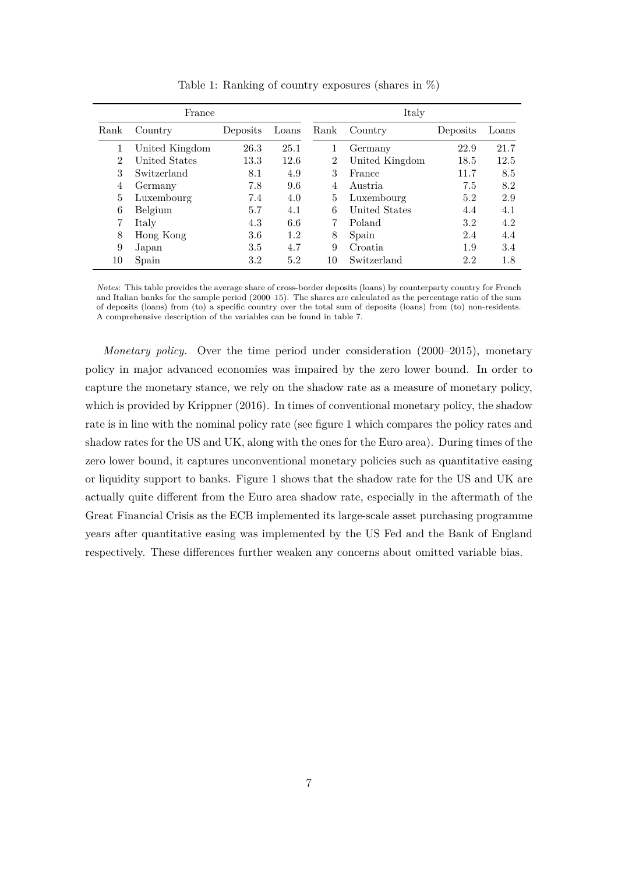<span id="page-9-0"></span>

|                | France         |          |       |                | Italy          |          |       |
|----------------|----------------|----------|-------|----------------|----------------|----------|-------|
| Rank           | Country        | Deposits | Loans | Rank           | Country        | Deposits | Loans |
|                | United Kingdom | 26.3     | 25.1  |                | Germany        | 22.9     | 21.7  |
| $\mathfrak{D}$ | United States  | 13.3     | 12.6  | $\overline{2}$ | United Kingdom | 18.5     | 12.5  |
| 3              | Switzerland    | 8.1      | 4.9   | 3              | France         | 11.7     | 8.5   |
| 4              | Germany        | 7.8      | 9.6   | 4              | Austria.       | 7.5      | 8.2   |
| 5              | Luxembourg     | 7.4      | 4.0   | 5              | Luxembourg     | 5.2      | 2.9   |
| 6              | Belgium        | 5.7      | 4.1   | 6              | United States  | 4.4      | 4.1   |
| $\overline{7}$ | Italy          | 4.3      | 6.6   |                | Poland         | 3.2      | 4.2   |
| 8              | Hong Kong      | 3.6      | 1.2   | 8              | Spain          | 2.4      | 4.4   |
| 9              | Japan          | 3.5      | 4.7   | 9              | Croatia        | 1.9      | 3.4   |
| 10             | Spain          | $3.2\,$  | 5.2   | 10             | Switzerland    | 2.2      | 1.8   |

Table 1: Ranking of country exposures (shares in %)

*Notes*: This table provides the average share of cross-border deposits (loans) by counterparty country for French and Italian banks for the sample period (2000–15). The shares are calculated as the percentage ratio of the sum of deposits (loans) from (to) a specific country over the total sum of deposits (loans) from (to) non-residents. A comprehensive description of the variables can be found in table [7.](#page-31-0)

*Monetary policy.* Over the time period under consideration (2000–2015), monetary policy in major advanced economies was impaired by the zero lower bound. In order to capture the monetary stance, we rely on the shadow rate as a measure of monetary policy, which is provided by [Krippner](#page-30-5) [\(2016\)](#page-30-5). In times of conventional monetary policy, the shadow rate is in line with the nominal policy rate (see figure [1](#page-10-0) which compares the policy rates and shadow rates for the US and UK, along with the ones for the Euro area). During times of the zero lower bound, it captures unconventional monetary policies such as quantitative easing or liquidity support to banks. Figure [1](#page-10-0) shows that the shadow rate for the US and UK are actually quite different from the Euro area shadow rate, especially in the aftermath of the Great Financial Crisis as the ECB implemented its large-scale asset purchasing programme years after quantitative easing was implemented by the US Fed and the Bank of England respectively. These differences further weaken any concerns about omitted variable bias.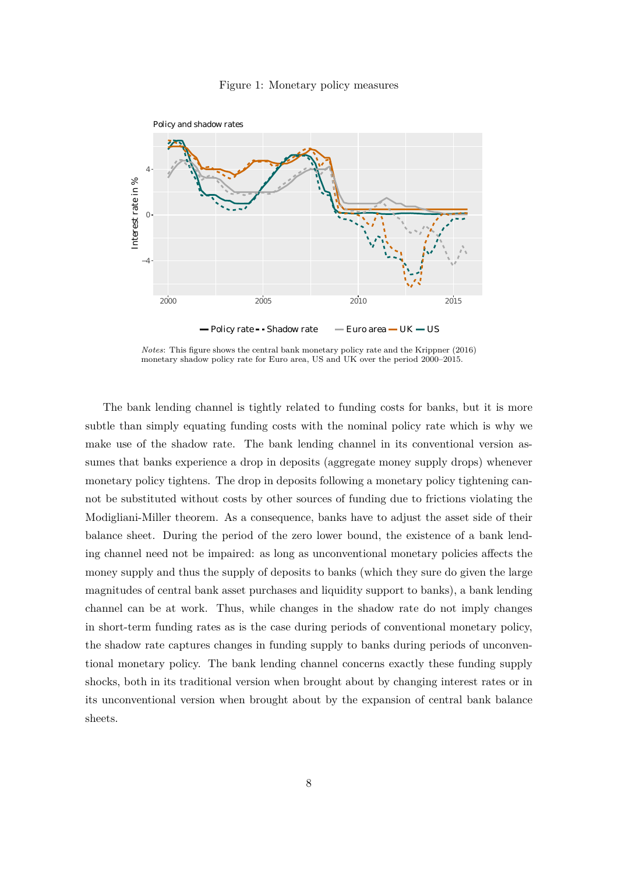

<span id="page-10-0"></span>

*Notes*: This figure shows the central bank monetary policy rate and the Krippner (2016) monetary shadow policy rate for Euro area, US and UK over the period 2000–2015.

The bank lending channel is tightly related to funding costs for banks, but it is more subtle than simply equating funding costs with the nominal policy rate which is why we make use of the shadow rate. The bank lending channel in its conventional version assumes that banks experience a drop in deposits (aggregate money supply drops) whenever monetary policy tightens. The drop in deposits following a monetary policy tightening cannot be substituted without costs by other sources of funding due to frictions violating the Modigliani-Miller theorem. As a consequence, banks have to adjust the asset side of their balance sheet. During the period of the zero lower bound, the existence of a bank lending channel need not be impaired: as long as unconventional monetary policies affects the money supply and thus the supply of deposits to banks (which they sure do given the large magnitudes of central bank asset purchases and liquidity support to banks), a bank lending channel can be at work. Thus, while changes in the shadow rate do not imply changes in short-term funding rates as is the case during periods of conventional monetary policy, the shadow rate captures changes in funding supply to banks during periods of unconventional monetary policy. The bank lending channel concerns exactly these funding supply shocks, both in its traditional version when brought about by changing interest rates or in its unconventional version when brought about by the expansion of central bank balance sheets.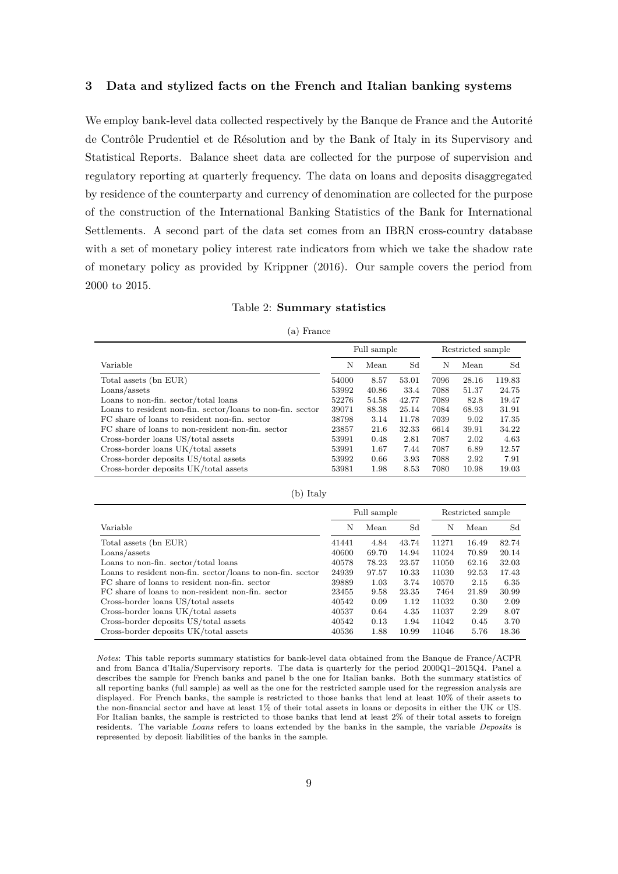#### **3 Data and stylized facts on the French and Italian banking systems**

We employ bank-level data collected respectively by the Banque de France and the Autorité de Contrôle Prudentiel et de Résolution and by the Bank of Italy in its Supervisory and Statistical Reports. Balance sheet data are collected for the purpose of supervision and regulatory reporting at quarterly frequency. The data on loans and deposits disaggregated by residence of the counterparty and currency of denomination are collected for the purpose of the construction of the International Banking Statistics of the Bank for International Settlements. A second part of the data set comes from an IBRN cross-country database with a set of monetary policy interest rate indicators from which we take the shadow rate of monetary policy as provided by [Krippner](#page-30-5) [\(2016\)](#page-30-5). Our sample covers the period from 2000 to 2015.

#### Table 2: **Summary statistics**

|  | rance |
|--|-------|
|--|-------|

<span id="page-11-0"></span>

|                                                            |       | Full sample |       |      | Restricted sample |        |
|------------------------------------------------------------|-------|-------------|-------|------|-------------------|--------|
| Variable                                                   | N     | Mean        | Sd    | N    | Mean              | Sd     |
| Total assets (bn EUR)                                      | 54000 | 8.57        | 53.01 | 7096 | 28.16             | 119.83 |
| Loans/assets                                               | 53992 | 40.86       | 33.4  | 7088 | 51.37             | 24.75  |
| Loans to non-fin. sector/total loans                       | 52276 | 54.58       | 42.77 | 7089 | 82.8              | 19.47  |
| Loans to resident non-fin. sector/loans to non-fin. sector | 39071 | 88.38       | 25.14 | 7084 | 68.93             | 31.91  |
| FC share of loans to resident non-fin. sector              | 38798 | 3.14        | 11.78 | 7039 | 9.02              | 17.35  |
| FC share of loans to non-resident non-fin. sector          | 23857 | 21.6        | 32.33 | 6614 | 39.91             | 34.22  |
| Cross-border loans US/total assets                         | 53991 | 0.48        | 2.81  | 7087 | 2.02              | 4.63   |
| Cross-border loans UK/total assets                         | 53991 | 1.67        | 7.44  | 7087 | 6.89              | 12.57  |
| Cross-border deposits US/total assets                      | 53992 | 0.66        | 3.93  | 7088 | 2.92              | 7.91   |
| Cross-border deposits UK/total assets                      | 53981 | 1.98        | 8.53  | 7080 | 10.98             | 19.03  |

(b) Italy

|                                                            |       | Full sample |       |       | Restricted sample |       |
|------------------------------------------------------------|-------|-------------|-------|-------|-------------------|-------|
| Variable                                                   | N     | Mean        | Sd    | N     | Mean              | Sd    |
| Total assets (bn EUR)                                      | 41441 | 4.84        | 43.74 | 11271 | 16.49             | 82.74 |
| Loans/assets                                               | 40600 | 69.70       | 14.94 | 11024 | 70.89             | 20.14 |
| Loans to non-fin. sector/total loans                       | 40578 | 78.23       | 23.57 | 11050 | 62.16             | 32.03 |
| Loans to resident non-fin. sector/loans to non-fin. sector | 24939 | 97.57       | 10.33 | 11030 | 92.53             | 17.43 |
| FC share of loans to resident non-fin. sector              | 39889 | 1.03        | 3.74  | 10570 | 2.15              | 6.35  |
| FC share of loans to non-resident non-fin. sector          | 23455 | 9.58        | 23.35 | 7464  | 21.89             | 30.99 |
| Cross-border loans US/total assets                         | 40542 | 0.09        | 1.12  | 11032 | 0.30              | 2.09  |
| Cross-border loans UK/total assets                         | 40537 | 0.64        | 4.35  | 11037 | 2.29              | 8.07  |
| Cross-border deposits US/total assets                      | 40542 | 0.13        | 1.94  | 11042 | 0.45              | 3.70  |
| Cross-border deposits UK/total assets                      | 40536 | 1.88        | 10.99 | 11046 | 5.76              | 18.36 |

*Notes*: This table reports summary statistics for bank-level data obtained from the Banque de France/ACPR and from Banca d'Italia/Supervisory reports. The data is quarterly for the period 2000Q1–2015Q4. Panel a describes the sample for French banks and panel b the one for Italian banks. Both the summary statistics of all reporting banks (full sample) as well as the one for the restricted sample used for the regression analysis are displayed. For French banks, the sample is restricted to those banks that lend at least 10% of their assets to the non-financial sector and have at least 1% of their total assets in loans or deposits in either the UK or US. For Italian banks, the sample is restricted to those banks that lend at least 2% of their total assets to foreign residents. The variable *Loans* refers to loans extended by the banks in the sample, the variable *Deposits* is represented by deposit liabilities of the banks in the sample.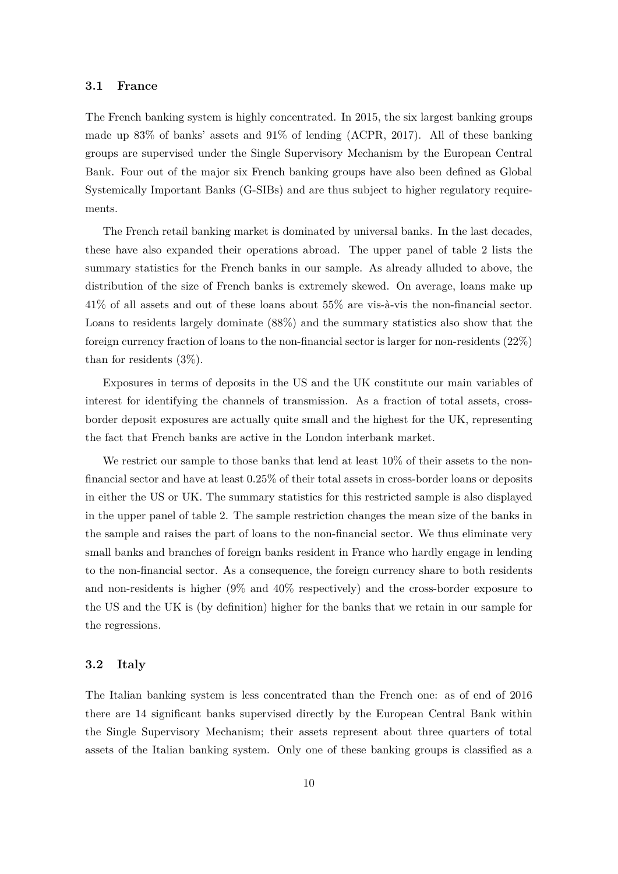#### <span id="page-12-0"></span>**3.1 France**

The French banking system is highly concentrated. In 2015, the six largest banking groups made up 83% of banks' assets and 91% of lending [\(ACPR,](#page-28-9) [2017\)](#page-28-9). All of these banking groups are supervised under the Single Supervisory Mechanism by the European Central Bank. Four out of the major six French banking groups have also been defined as Global Systemically Important Banks (G-SIBs) and are thus subject to higher regulatory requirements.

The French retail banking market is dominated by universal banks. In the last decades, these have also expanded their operations abroad. The upper panel of table [2](#page-11-0) lists the summary statistics for the French banks in our sample. As already alluded to above, the distribution of the size of French banks is extremely skewed. On average, loans make up 41% of all assets and out of these loans about 55% are vis-à-vis the non-financial sector. Loans to residents largely dominate (88%) and the summary statistics also show that the foreign currency fraction of loans to the non-financial sector is larger for non-residents (22%) than for residents  $(3\%)$ .

Exposures in terms of deposits in the US and the UK constitute our main variables of interest for identifying the channels of transmission. As a fraction of total assets, crossborder deposit exposures are actually quite small and the highest for the UK, representing the fact that French banks are active in the London interbank market.

We restrict our sample to those banks that lend at least  $10\%$  of their assets to the nonfinancial sector and have at least 0.25% of their total assets in cross-border loans or deposits in either the US or UK. The summary statistics for this restricted sample is also displayed in the upper panel of table [2.](#page-11-0) The sample restriction changes the mean size of the banks in the sample and raises the part of loans to the non-financial sector. We thus eliminate very small banks and branches of foreign banks resident in France who hardly engage in lending to the non-financial sector. As a consequence, the foreign currency share to both residents and non-residents is higher (9% and 40% respectively) and the cross-border exposure to the US and the UK is (by definition) higher for the banks that we retain in our sample for the regressions.

#### **3.2 Italy**

The Italian banking system is less concentrated than the French one: as of end of 2016 there are 14 significant banks supervised directly by the European Central Bank within the Single Supervisory Mechanism; their assets represent about three quarters of total assets of the Italian banking system. Only one of these banking groups is classified as a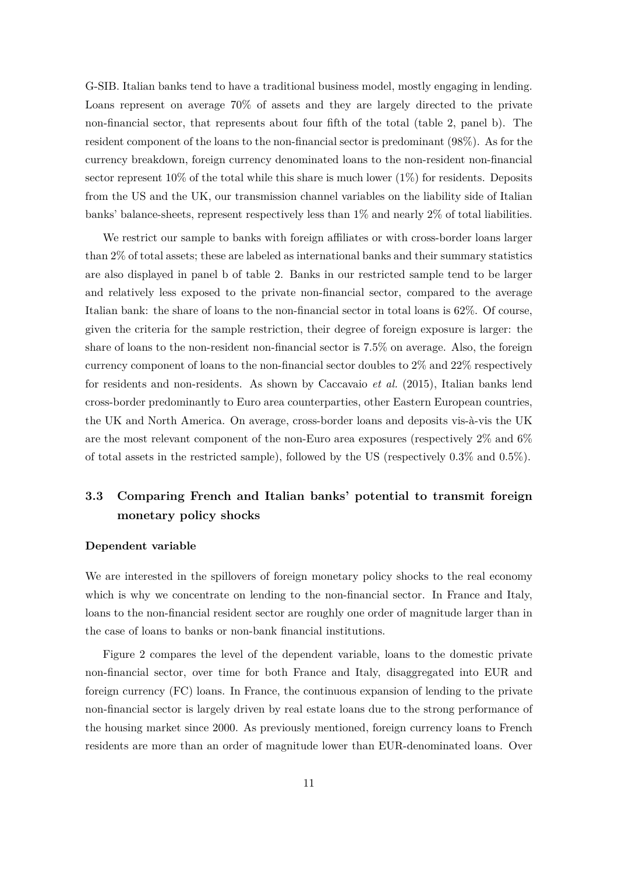G-SIB. Italian banks tend to have a traditional business model, mostly engaging in lending. Loans represent on average 70% of assets and they are largely directed to the private non-financial sector, that represents about four fifth of the total (table [2,](#page-11-0) panel b). The resident component of the loans to the non-financial sector is predominant (98%). As for the currency breakdown, foreign currency denominated loans to the non-resident non-financial sector represent  $10\%$  of the total while this share is much lower  $(1\%)$  for residents. Deposits from the US and the UK, our transmission channel variables on the liability side of Italian banks' balance-sheets, represent respectively less than 1% and nearly 2% of total liabilities.

We restrict our sample to banks with foreign affiliates or with cross-border loans larger than 2% of total assets; these are labeled as international banks and their summary statistics are also displayed in panel b of table [2.](#page-11-0) Banks in our restricted sample tend to be larger and relatively less exposed to the private non-financial sector, compared to the average Italian bank: the share of loans to the non-financial sector in total loans is 62%. Of course, given the criteria for the sample restriction, their degree of foreign exposure is larger: the share of loans to the non-resident non-financial sector is 7.5% on average. Also, the foreign currency component of loans to the non-financial sector doubles to 2% and 22% respectively for residents and non-residents. As shown by [Caccavaio](#page-29-11) *et al.* [\(2015\)](#page-29-11), Italian banks lend cross-border predominantly to Euro area counterparties, other Eastern European countries, the UK and North America. On average, cross-border loans and deposits vis-à-vis the UK are the most relevant component of the non-Euro area exposures (respectively 2% and 6% of total assets in the restricted sample), followed by the US (respectively 0.3% and 0.5%).

### **3.3 Comparing French and Italian banks' potential to transmit foreign monetary policy shocks**

#### **Dependent variable**

We are interested in the spillovers of foreign monetary policy shocks to the real economy which is why we concentrate on lending to the non-financial sector. In France and Italy, loans to the non-financial resident sector are roughly one order of magnitude larger than in the case of loans to banks or non-bank financial institutions.

Figure [2](#page-14-0) compares the level of the dependent variable, loans to the domestic private non-financial sector, over time for both France and Italy, disaggregated into EUR and foreign currency (FC) loans. In France, the continuous expansion of lending to the private non-financial sector is largely driven by real estate loans due to the strong performance of the housing market since 2000. As previously mentioned, foreign currency loans to French residents are more than an order of magnitude lower than EUR-denominated loans. Over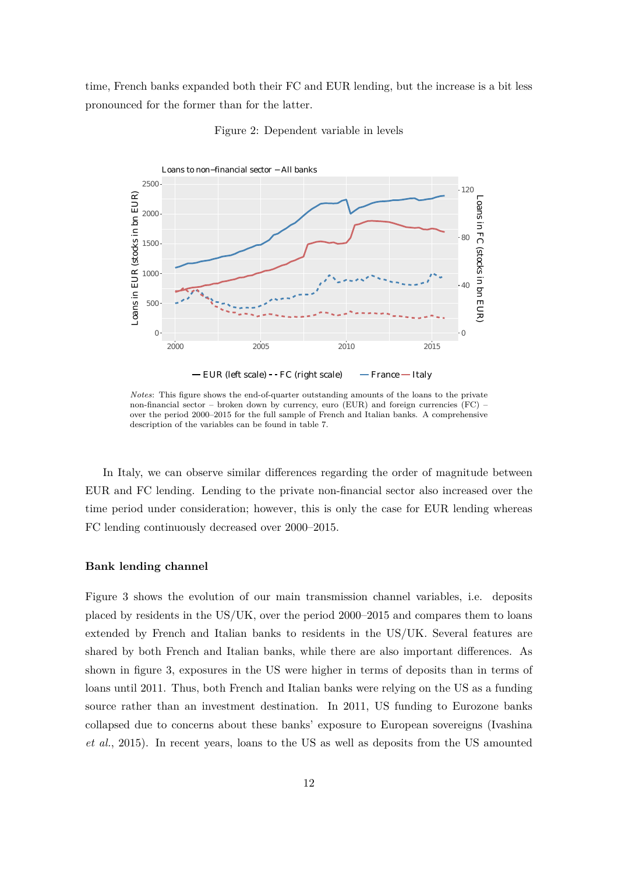<span id="page-14-0"></span>time, French banks expanded both their FC and EUR lending, but the increase is a bit less pronounced for the former than for the latter.



Figure 2: Dependent variable in levels

In Italy, we can observe similar differences regarding the order of magnitude between EUR and FC lending. Lending to the private non-financial sector also increased over the time period under consideration; however, this is only the case for EUR lending whereas FC lending continuously decreased over 2000–2015.

#### **Bank lending channel**

Figure [3](#page-15-0) shows the evolution of our main transmission channel variables, i.e. deposits placed by residents in the US/UK, over the period 2000–2015 and compares them to loans extended by French and Italian banks to residents in the US/UK. Several features are shared by both French and Italian banks, while there are also important differences. As shown in figure [3,](#page-15-0) exposures in the US were higher in terms of deposits than in terms of loans until 2011. Thus, both French and Italian banks were relying on the US as a funding source rather than an investment destination. In 2011, US funding to Eurozone banks collapsed due to concerns about these banks' exposure to European sovereigns [\(Ivashina](#page-29-4) *[et al.](#page-29-4)*, [2015\)](#page-29-4). In recent years, loans to the US as well as deposits from the US amounted

*Notes*: This figure shows the end-of-quarter outstanding amounts of the loans to the private non-financial sector – broken down by currency, euro (EUR) and foreign currencies (FC) – over the period 2000–2015 for the full sample of French and Italian banks. A comprehensive description of the variables can be found in table [7.](#page-31-0)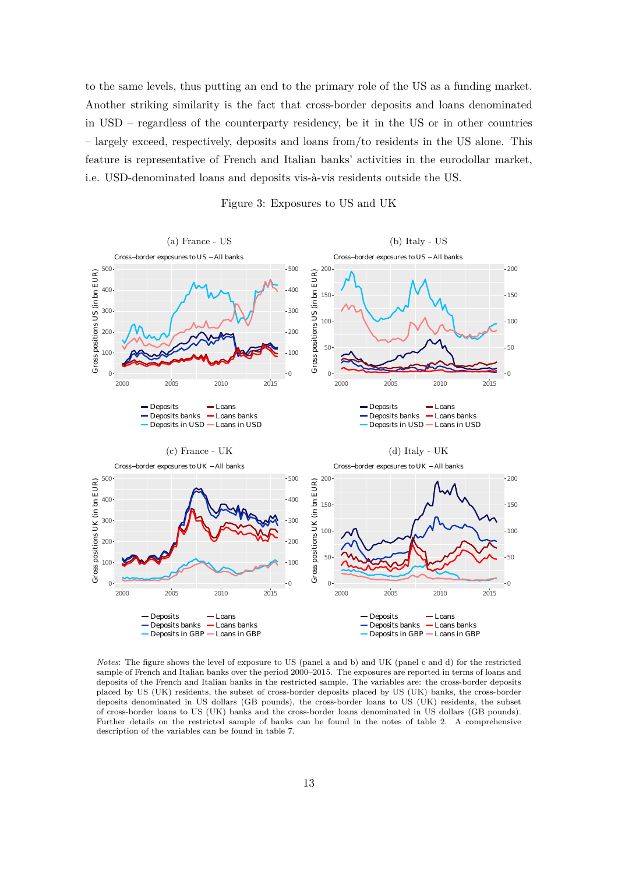to the same levels, thus putting an end to the primary role of the US as a funding market. Another striking similarity is the fact that cross-border deposits and loans denominated in USD – regardless of the counterparty residency, be it in the US or in other countries – largely exceed, respectively, deposits and loans from/to residents in the US alone. This feature is representative of French and Italian banks' activities in the eurodollar market, i.e. USD-denominated loans and deposits vis-à-vis residents outside the US.



<span id="page-15-0"></span>

*Notes*: The figure shows the level of exposure to US (panel a and b) and UK (panel c and d) for the restricted sample of French and Italian banks over the period 2000–2015. The exposures are reported in terms of loans and deposits of the French and Italian banks in the restricted sample. The variables are: the cross-border deposits placed by US (UK) residents, the subset of cross-border deposits placed by US (UK) banks, the cross-border deposits denominated in US dollars (GB pounds), the cross-border loans to US (UK) residents, the subset of cross-border loans to US (UK) banks and the cross-border loans denominated in US dollars (GB pounds). Further details on the restricted sample of banks can be found in the notes of table [2.](#page-11-0) A comprehensive description of the variables can be found in table [7.](#page-31-0)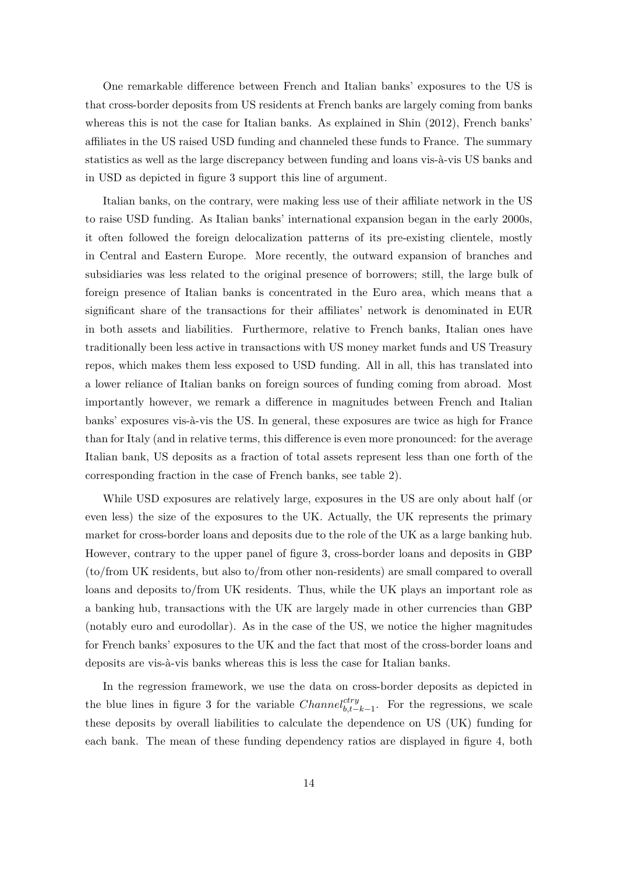One remarkable difference between French and Italian banks' exposures to the US is that cross-border deposits from US residents at French banks are largely coming from banks whereas this is not the case for Italian banks. As explained in [Shin](#page-30-6) [\(2012\)](#page-30-6), French banks' affiliates in the US raised USD funding and channeled these funds to France. The summary statistics as well as the large discrepancy between funding and loans vis-à-vis US banks and in USD as depicted in figure [3](#page-15-0) support this line of argument.

Italian banks, on the contrary, were making less use of their affiliate network in the US to raise USD funding. As Italian banks' international expansion began in the early 2000s, it often followed the foreign delocalization patterns of its pre-existing clientele, mostly in Central and Eastern Europe. More recently, the outward expansion of branches and subsidiaries was less related to the original presence of borrowers; still, the large bulk of foreign presence of Italian banks is concentrated in the Euro area, which means that a significant share of the transactions for their affiliates' network is denominated in EUR in both assets and liabilities. Furthermore, relative to French banks, Italian ones have traditionally been less active in transactions with US money market funds and US Treasury repos, which makes them less exposed to USD funding. All in all, this has translated into a lower reliance of Italian banks on foreign sources of funding coming from abroad. Most importantly however, we remark a difference in magnitudes between French and Italian banks' exposures vis-à-vis the US. In general, these exposures are twice as high for France than for Italy (and in relative terms, this difference is even more pronounced: for the average Italian bank, US deposits as a fraction of total assets represent less than one forth of the corresponding fraction in the case of French banks, see table [2\)](#page-11-0).

While USD exposures are relatively large, exposures in the US are only about half (or even less) the size of the exposures to the UK. Actually, the UK represents the primary market for cross-border loans and deposits due to the role of the UK as a large banking hub. However, contrary to the upper panel of figure [3,](#page-15-0) cross-border loans and deposits in GBP (to/from UK residents, but also to/from other non-residents) are small compared to overall loans and deposits to/from UK residents. Thus, while the UK plays an important role as a banking hub, transactions with the UK are largely made in other currencies than GBP (notably euro and eurodollar). As in the case of the US, we notice the higher magnitudes for French banks' exposures to the UK and the fact that most of the cross-border loans and deposits are vis-à-vis banks whereas this is less the case for Italian banks.

In the regression framework, we use the data on cross-border deposits as depicted in the blue lines in figure [3](#page-15-0) for the variable  $Channel_{b,t-k-1}^{ctry}$ . For the regressions, we scale these deposits by overall liabilities to calculate the dependence on US (UK) funding for each bank. The mean of these funding dependency ratios are displayed in figure [4,](#page-17-0) both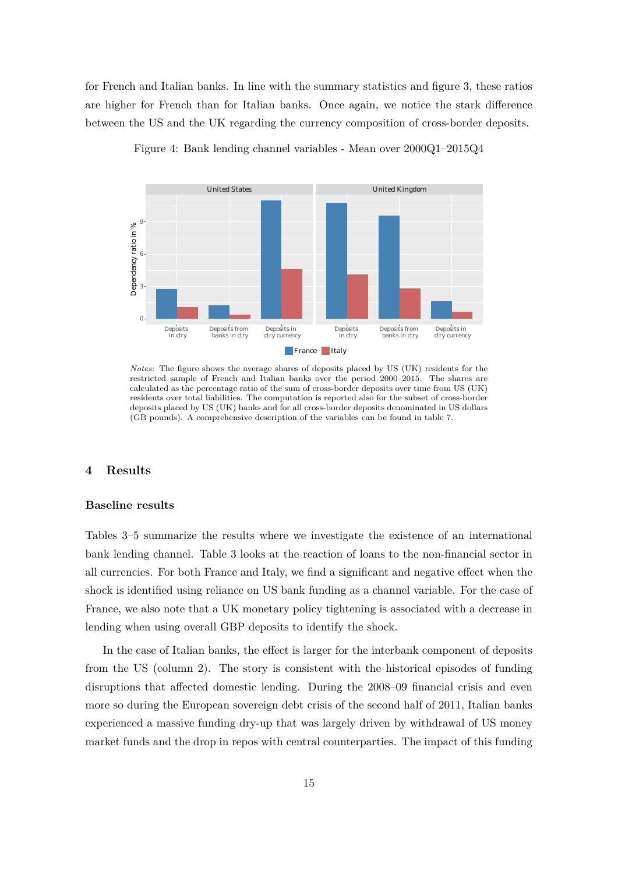for French and Italian banks. In line with the summary statistics and figure [3,](#page-15-0) these ratios are higher for French than for Italian banks. Once again, we notice the stark difference between the US and the UK regarding the currency composition of cross-border deposits.



<span id="page-17-0"></span>Figure 4: Bank lending channel variables - Mean over 2000Q1–2015Q4

*Notes*: The figure shows the average shares of deposits placed by US (UK) residents for the restricted sample of French and Italian banks over the period 2000–2015. The shares are calculated as the percentage ratio of the sum of cross-border deposits over time from US (UK) residents over total liabilities. The computation is reported also for the subset of cross-border deposits placed by US (UK) banks and for all cross-border deposits denominated in US dollars (GB pounds). A comprehensive description of the variables can be found in table [7.](#page-31-0)

#### **4 Results**

#### **Baseline results**

Tables [3](#page-18-0)[–5](#page-21-0) summarize the results where we investigate the existence of an international bank lending channel. Table [3](#page-18-0) looks at the reaction of loans to the non-financial sector in all currencies. For both France and Italy, we find a significant and negative effect when the shock is identified using reliance on US bank funding as a channel variable. For the case of France, we also note that a UK monetary policy tightening is associated with a decrease in lending when using overall GBP deposits to identify the shock.

In the case of Italian banks, the effect is larger for the interbank component of deposits from the US (column 2). The story is consistent with the historical episodes of funding disruptions that affected domestic lending. During the 2008–09 financial crisis and even more so during the European sovereign debt crisis of the second half of 2011, Italian banks experienced a massive funding dry-up that was largely driven by withdrawal of US money market funds and the drop in repos with central counterparties. The impact of this funding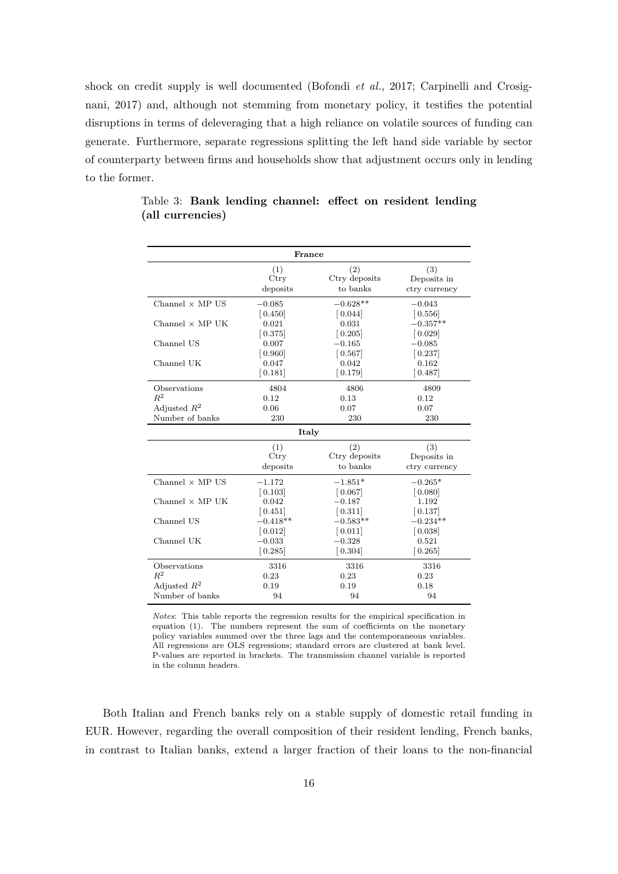shock on credit supply is well documented [\(Bofondi](#page-28-10) *et al.*, [2017;](#page-28-10) [Carpinelli and Crosig](#page-29-12)[nani,](#page-29-12) [2017\)](#page-29-12) and, although not stemming from monetary policy, it testifies the potential disruptions in terms of deleveraging that a high reliance on volatile sources of funding can generate. Furthermore, separate regressions splitting the left hand side variable by sector of counterparty between firms and households show that adjustment occurs only in lending to the former.

|                        | France               |                       |                       |
|------------------------|----------------------|-----------------------|-----------------------|
|                        | (1)                  | (2)                   | (3)                   |
|                        | Ctry                 | Ctry deposits         | Deposits in           |
|                        | deposits             | to banks              | ctry currency         |
| Channel $\times$ MP US | $-0.085$             | $-0.628**$            | $-0.043$              |
|                        | $\left[0.450\right]$ | [0.044]               | [0.556]               |
| Channel $\times$ MP UK | 0.021                | 0.031                 | $-0.357**$            |
|                        | $\left[0.375\right]$ | $\left[0.205\right]$  | $\left[0.029\right]$  |
| Channel US             | 0.007                | $-0.165$              | $-0.085$              |
|                        | [0.960]              | $\left[0.567\right]$  | $\left[0.237\right]$  |
| Channel UK             | 0.047                | 0.042                 | 0.162                 |
|                        | [0.181]              | $\left[0.179\right]$  | [0.487]               |
| Observations           | 4804                 | 4806                  | 4809                  |
| $R^2$                  | 0.12                 | 0.13                  | 0.12                  |
| Adjusted $R^2$         | 0.06                 | 0.07                  | 0.07                  |
| Number of banks        | 230                  | 230                   | 230                   |
|                        | Italy                |                       |                       |
|                        | (1)                  | (2)                   | (3)                   |
|                        | Ctry                 | Ctry deposits         | Deposits in           |
|                        | deposits             | to banks              | ctry currency         |
| Channel $\times$ MP US | $-1.172$             | $-1.851*$             | $-0.265*$             |
|                        | $\left[0.103\right]$ | $\lceil 0.067 \rceil$ | $\left[0.080\right]$  |
| Channel $\times$ MP UK | 0.042                | $-0.187$              | 1.192                 |
|                        | [0.451]              | [0.311]               | [0.137]               |
| Channel US             | $-0.418**$           | $-0.583**$            | $-0.234**$            |
|                        | $\left[0.012\right]$ | $\left[0.011\right]$  | $\left[0.038\right]$  |
| Channel UK             | $-0.033$             | $-0.328$              | 0.521                 |
|                        | [0.285]              | $\left[0.304\right]$  | $\lceil 0.265 \rceil$ |
| Observations           | 3316                 | 3316                  | 3316                  |
| $R^2$                  | 0.23                 | 0.23                  | 0.23                  |
| Adjusted $R^2$         | 0.19                 | 0.19                  | 0.18                  |
| Number of banks        | 94                   | 94                    | 94                    |

<span id="page-18-0"></span>Table 3: **Bank lending channel: effect on resident lending (all currencies)**

*Notes*: This table reports the regression results for the empirical specification in equation [\(1\)](#page-7-1). The numbers represent the sum of coefficients on the monetary policy variables summed over the three lags and the contemporaneous variables. All regressions are OLS regressions; standard errors are clustered at bank level. P-values are reported in brackets. The transmission channel variable is reported in the column headers.

Both Italian and French banks rely on a stable supply of domestic retail funding in EUR. However, regarding the overall composition of their resident lending, French banks, in contrast to Italian banks, extend a larger fraction of their loans to the non-financial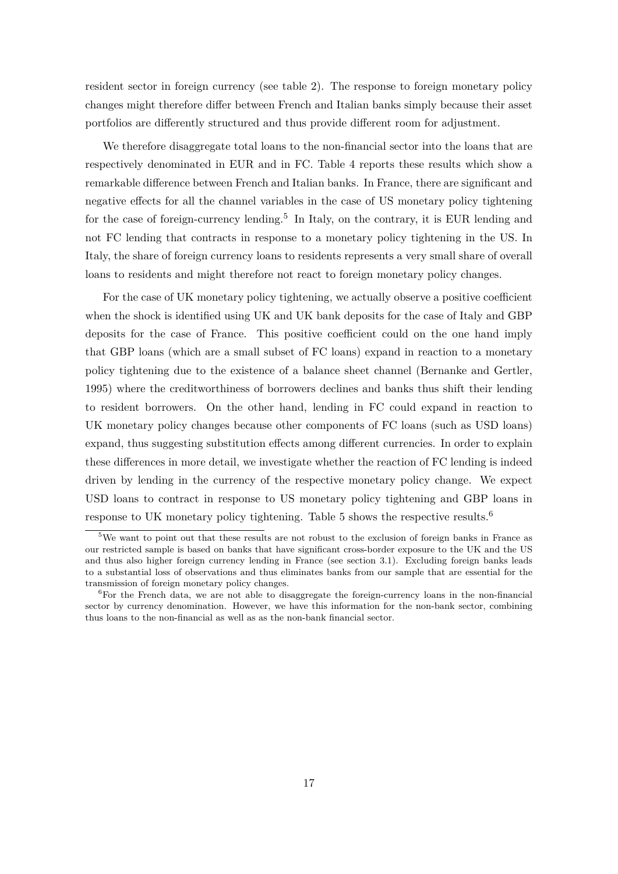resident sector in foreign currency (see table [2\)](#page-11-0). The response to foreign monetary policy changes might therefore differ between French and Italian banks simply because their asset portfolios are differently structured and thus provide different room for adjustment.

We therefore disaggregate total loans to the non-financial sector into the loans that are respectively denominated in EUR and in FC. Table [4](#page-20-0) reports these results which show a remarkable difference between French and Italian banks. In France, there are significant and negative effects for all the channel variables in the case of US monetary policy tightening for the case of foreign-currency lending.<sup>[5](#page-19-0)</sup> In Italy, on the contrary, it is EUR lending and not FC lending that contracts in response to a monetary policy tightening in the US. In Italy, the share of foreign currency loans to residents represents a very small share of overall loans to residents and might therefore not react to foreign monetary policy changes.

For the case of UK monetary policy tightening, we actually observe a positive coefficient when the shock is identified using UK and UK bank deposits for the case of Italy and GBP deposits for the case of France. This positive coefficient could on the one hand imply that GBP loans (which are a small subset of FC loans) expand in reaction to a monetary policy tightening due to the existence of a balance sheet channel [\(Bernanke and Gertler,](#page-28-2) [1995\)](#page-28-2) where the creditworthiness of borrowers declines and banks thus shift their lending to resident borrowers. On the other hand, lending in FC could expand in reaction to UK monetary policy changes because other components of FC loans (such as USD loans) expand, thus suggesting substitution effects among different currencies. In order to explain these differences in more detail, we investigate whether the reaction of FC lending is indeed driven by lending in the currency of the respective monetary policy change. We expect USD loans to contract in response to US monetary policy tightening and GBP loans in response to UK monetary policy tightening. Table [5](#page-21-0) shows the respective results.<sup>[6](#page-19-1)</sup>

<span id="page-19-0"></span><sup>&</sup>lt;sup>5</sup>We want to point out that these results are not robust to the exclusion of foreign banks in France as our restricted sample is based on banks that have significant cross-border exposure to the UK and the US and thus also higher foreign currency lending in France (see section [3.1\)](#page-12-0). Excluding foreign banks leads to a substantial loss of observations and thus eliminates banks from our sample that are essential for the transmission of foreign monetary policy changes.

<span id="page-19-1"></span> ${}^{6}$ For the French data, we are not able to disaggregate the foreign-currency loans in the non-financial sector by currency denomination. However, we have this information for the non-bank sector, combining thus loans to the non-financial as well as as the non-bank financial sector.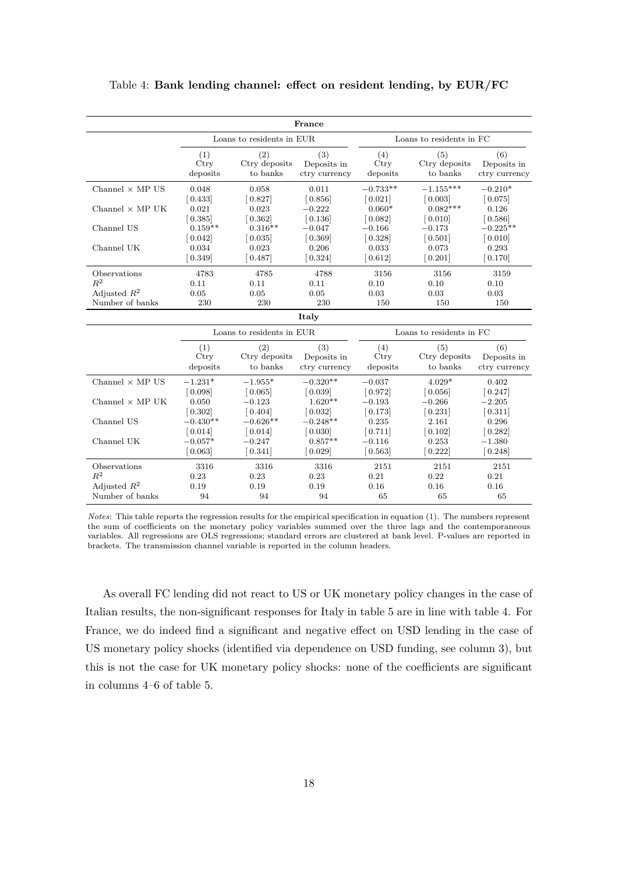|                        |                      |                           | France               |                      |                          |                      |
|------------------------|----------------------|---------------------------|----------------------|----------------------|--------------------------|----------------------|
|                        |                      | Loans to residents in EUR |                      |                      | Loans to residents in FC |                      |
|                        | (1)                  | (2)                       | (3)                  | (4)                  | (5)                      | (6)                  |
|                        | Ctry                 | Ctry deposits             | Deposits in          | Ctry                 | Ctry deposits            | Deposits in          |
|                        | deposits             | to banks                  | ctry currency        | deposits             | to banks                 | ctry currency        |
| Channel $\times$ MP US | 0.048                | 0.058                     | 0.011                | $-0.733**$           | $-1.155***$              | $-0.210*$            |
|                        | $\left[0.433\right]$ | $\left[0.827\right]$      | [0.856]              | $\left[0.021\right]$ | $\left[0.003\right]$     | [0.075]              |
| Channel $\times$ MP UK | 0.021                | 0.023                     | $-0.222$             | $0.060*$             | $0.082***$               | 0.126                |
|                        | $\left[0.385\right]$ | $\left[0.362\right]$      | $\left[0.136\right]$ | $\left[0.082\right]$ | [0.010]                  | $\left[0.586\right]$ |
| Channel US             | $0.159**$            | $0.316**$                 | $-0.047$             | $-0.166$             | $-0.173$                 | $-0.225**$           |
|                        | $\left[0.042\right]$ | $\left[0.035\right]$      | $\left[0.369\right]$ | $\left[0.328\right]$ | [0.501]                  | [0.010]              |
| Channel UK             | 0.034                | 0.023                     | 0.206                | 0.033                | 0.073                    | 0.293                |
|                        | $\left[0.349\right]$ | [0.487]                   | $\left[0.324\right]$ | $\left[0.612\right]$ | $\left[0.201\right]$     | [0.170]              |
| Observations           | 4783                 | 4785                      | 4788                 | 3156                 | 3156                     | 3159                 |
| $R^2$                  | 0.11                 | 0.11                      | 0.11                 | 0.10                 | 0.10                     | 0.10                 |
| Adjusted $R^2$         | 0.05                 | 0.05                      | 0.05                 | 0.03                 | 0.03                     | 0.03                 |
| Number of banks        | 230                  | 230                       | 230                  | 150                  | 150                      | 150                  |
|                        |                      |                           | Italy                |                      |                          |                      |
|                        |                      | Loans to residents in EUR |                      |                      | Loans to residents in FC |                      |
|                        | (1)                  | (2)                       | (3)                  | (4)                  | (5)                      | (6)                  |
|                        | Ctry                 | Ctry deposits             | Deposits in          | $_{\rm Ctry}$        | Ctry deposits            | Deposits in          |
|                        | deposits             | to banks                  | ctry currency        | deposits             | to banks                 | ctry currency        |
| Channel $\times$ MP US | $-1.231*$            | $-1.955*$                 | $-0.320**$           | $-0.037$             | $4.029*$                 | 0.402                |
|                        | [0.098]              | [0.065]                   | $\left[0.039\right]$ | [0.972]              | [0.056]                  | $\left[0.247\right]$ |
| Channel $\times$ MP UK | 0.050                | $-0.123$                  | $1.620**$            | $-0.193$             | $-0.266$                 | $-2.205$             |
|                        | $\left[0.302\right]$ | $\left[0.404\right]$      | $\left[0.032\right]$ | [0.173]              | $\left[0.231\right]$     | $\left[0.311\right]$ |
| Channel US             | $-0.430**$           | $-0.626**$                | $-0.248**$           | 0.235                | 2.161                    | 0.296                |
|                        | $\left[0.014\right]$ | $\left[0.014\right]$      | $\left[0.030\right]$ | $[0.711]$            | $\left[0.102\right]$     | $\left[0.282\right]$ |
| Channel UK             | $-0.057*$            | $-0.247$                  | $0.857**$            | $-0.116$             | 0.253                    | $-1.380$             |
|                        | $\left[0.063\right]$ | [0.341]                   | $\left[0.029\right]$ | [0.563]              | $\left[0.222\right]$     | [0.248]              |
| Observations           | 3316                 | 3316                      | 3316                 | 2151                 | 2151                     | 2151                 |
| $R^2$                  | 0.23                 | 0.23                      | 0.23                 | 0.21                 | 0.22                     | 0.21                 |
| Adjusted $R^2$         | 0.19                 | 0.19                      | 0.19                 | 0.16                 | 0.16                     | 0.16                 |
| Number of banks        | 94                   | 94                        | 94                   | 65                   | 65                       | 65                   |

<span id="page-20-0"></span>Table 4: **Bank lending channel: effect on resident lending, by EUR/FC**

*Notes*: This table reports the regression results for the empirical specification in equation [\(1\)](#page-7-1). The numbers represent the sum of coefficients on the monetary policy variables summed over the three lags and the contemporaneous variables. All regressions are OLS regressions; standard errors are clustered at bank level. P-values are reported in brackets. The transmission channel variable is reported in the column headers.

As overall FC lending did not react to US or UK monetary policy changes in the case of Italian results, the non-significant responses for Italy in table [5](#page-21-0) are in line with table [4.](#page-20-0) For France, we do indeed find a significant and negative effect on USD lending in the case of US monetary policy shocks (identified via dependence on USD funding, see column 3), but this is not the case for UK monetary policy shocks: none of the coefficients are significant in columns 4–6 of table [5.](#page-21-0)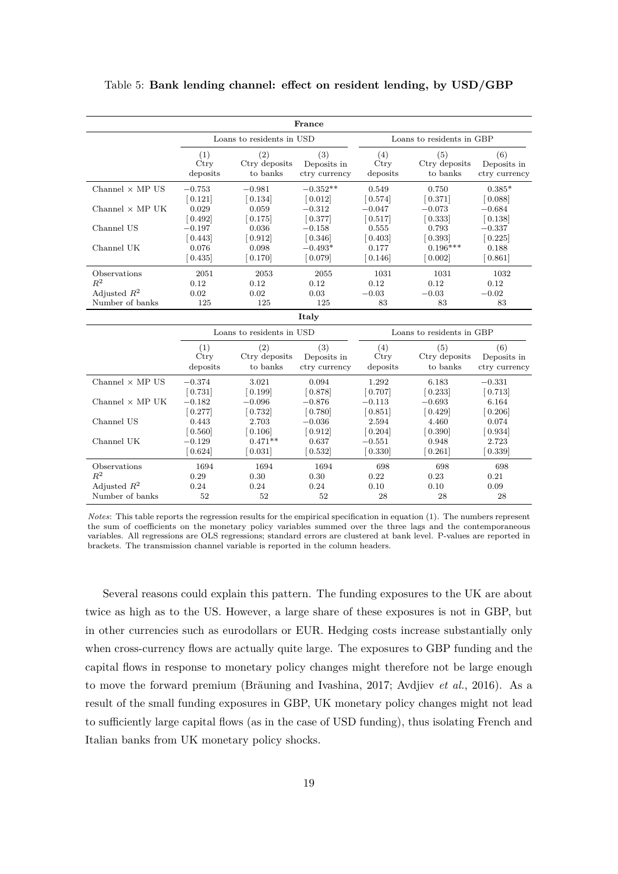|                        |                      |                           | France               |                      |                           |                      |
|------------------------|----------------------|---------------------------|----------------------|----------------------|---------------------------|----------------------|
|                        |                      | Loans to residents in USD |                      |                      | Loans to residents in GBP |                      |
|                        | (1)                  | (2)                       | (3)                  | (4)                  | (5)                       | (6)                  |
|                        | Ctry                 | Ctry deposits             | Deposits in          | Ctry                 | Ctry deposits             | Deposits in          |
|                        | deposits             | to banks                  | ctry currency        | deposits             | to banks                  | ctry currency        |
| Channel $\times$ MP US | $-0.753$             | $-0.981$                  | $-0.352**$           | 0.549                | 0.750                     | $0.385*$             |
|                        | $\left[0.121\right]$ | $\lceil 0.134 \rceil$     | $\left[0.012\right]$ | [0.574]              | [0.371]                   | [0.088]              |
| Channel $\times$ MP UK | 0.029                | 0.059                     | $-0.312$             | $-0.047$             | $-0.073$                  | $-0.684$             |
|                        | $\left[0.492\right]$ | $\left[0.175\right]$      | [0.377]              | [0.517]              | [0.333]                   | [0.138]              |
| Channel US             | $-0.197$             | 0.036                     | $-0.158$             | 0.555                | 0.793                     | $-0.337$             |
|                        | [0.443]              | $\left[0.912\right]$      | [0.346]              | 0.403                | [0.393]                   | $\left[0.225\right]$ |
| Channel UK             | 0.076                | 0.098                     | $-0.493*$            | 0.177                | $0.196***$                | 0.188                |
|                        | [0.435]              | [0.170]                   | [0.079]              | [0.146]              | $\left[0.002\right]$      | [0.861]              |
| Observations           | 2051                 | 2053                      | 2055                 | 1031                 | 1031                      | 1032                 |
| $R^2$                  | 0.12                 | 0.12                      | 0.12                 | 0.12                 | 0.12                      | 0.12                 |
| Adjusted $R^2$         | 0.02                 | $\rm 0.02$                | 0.03                 | $-0.03$              | $-0.03$                   | $-0.02$              |
| Number of banks        | 125                  | 125                       | 125                  | 83                   | 83                        | 83                   |
|                        |                      |                           | Italy                |                      |                           |                      |
|                        |                      | Loans to residents in USD |                      |                      | Loans to residents in GBP |                      |
|                        | (1)                  | (2)                       | (3)                  | (4)                  | (5)                       | (6)                  |
|                        | Ctry                 | Ctry deposits             | Deposits in          | $_{\rm Ctry}$        | Ctry deposits             | Deposits in          |
|                        | deposits             | to banks                  | ctry currency        | deposits             | to banks                  | ctry currency        |
| Channel $\times$ MP US | $-0.374$             | 3.021                     | 0.094                | 1.292                | 6.183                     | $-0.331$             |
|                        | [0.731]              | [0.199]                   | [0.878]              | [0.707]              | [0.233]                   | [0.713]              |
| Channel $\times$ MP UK | $-0.182$             | $-0.096$                  | $-0.876$             | $-0.113$             | $-0.693$                  | 6.164                |
|                        | $\left[0.277\right]$ | $\left[0.732\right]$      | $\left[0.780\right]$ | [0.851]              | [0.429]                   | $\left[0.206\right]$ |
| Channel US             | 0.443                | 2.703                     | $-0.036$             | 2.594                | 4.460                     | 0.074                |
|                        | $\left[0.560\right]$ | [0.106]                   | $[0.912]$            | $\left[0.204\right]$ | [0.390]                   | [0.934]              |
| Channel UK             | $-0.129$             | $0.471**$                 | 0.637                | $-0.551$             | 0.948                     | 2.723                |
|                        | $\left[0.624\right]$ | [0.031]                   | $\left[0.532\right]$ | $\left[0.330\right]$ | [0.261]                   | [0.339]              |
| Observations           | 1694                 | 1694                      | 1694                 | 698                  | 698                       | 698                  |
| $R^2$                  | 0.29                 | 0.30                      | 0.30                 | 0.22                 | 0.23                      | 0.21                 |
| Adjusted $R^2$         | 0.24                 | 0.24                      | 0.24                 | 0.10                 | 0.10                      | 0.09                 |
| Number of banks        | 52                   | 52                        | 52                   | 28                   | 28                        | 28                   |

<span id="page-21-0"></span>Table 5: **Bank lending channel: effect on resident lending, by USD/GBP**

*Notes*: This table reports the regression results for the empirical specification in equation [\(1\)](#page-7-1). The numbers represent the sum of coefficients on the monetary policy variables summed over the three lags and the contemporaneous variables. All regressions are OLS regressions; standard errors are clustered at bank level. P-values are reported in brackets. The transmission channel variable is reported in the column headers.

Several reasons could explain this pattern. The funding exposures to the UK are about twice as high as to the US. However, a large share of these exposures is not in GBP, but in other currencies such as eurodollars or EUR. Hedging costs increase substantially only when cross-currency flows are actually quite large. The exposures to GBP funding and the capital flows in response to monetary policy changes might therefore not be large enough to move the forward premium [\(Bräuning and Ivashina,](#page-28-11) [2017;](#page-28-11) [Avdjiev](#page-28-12) *et al.*, [2016\)](#page-28-12). As a result of the small funding exposures in GBP, UK monetary policy changes might not lead to sufficiently large capital flows (as in the case of USD funding), thus isolating French and Italian banks from UK monetary policy shocks.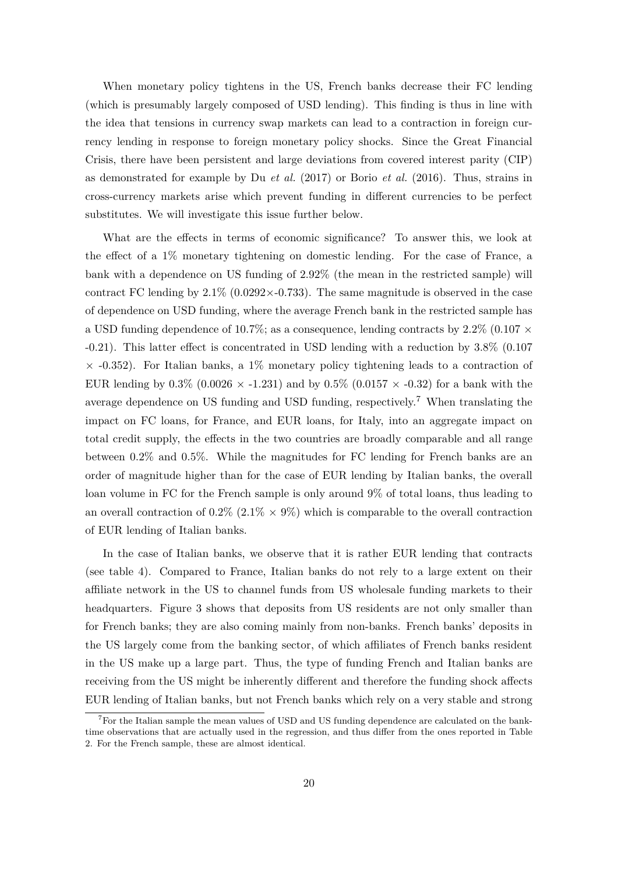When monetary policy tightens in the US, French banks decrease their FC lending (which is presumably largely composed of USD lending). This finding is thus in line with the idea that tensions in currency swap markets can lead to a contraction in foreign currency lending in response to foreign monetary policy shocks. Since the Great Financial Crisis, there have been persistent and large deviations from covered interest parity (CIP) as demonstrated for example by Du *[et al.](#page-29-13)* [\(2017\)](#page-29-13) or [Borio](#page-28-13) *et al.* [\(2016\)](#page-28-13). Thus, strains in cross-currency markets arise which prevent funding in different currencies to be perfect substitutes. We will investigate this issue further below.

What are the effects in terms of economic significance? To answer this, we look at the effect of a 1% monetary tightening on domestic lending. For the case of France, a bank with a dependence on US funding of 2.92% (the mean in the restricted sample) will contract FC lending by  $2.1\%$  (0.0292×-0.733). The same magnitude is observed in the case of dependence on USD funding, where the average French bank in the restricted sample has a USD funding dependence of 10.7%; as a consequence, lending contracts by 2.2% (0.107  $\times$ -0.21). This latter effect is concentrated in USD lending with a reduction by 3.8% (0.107  $\times$  -0.352). For Italian banks, a 1% monetary policy tightening leads to a contraction of EUR lending by 0.3% (0.0026  $\times$  -1.231) and by 0.5% (0.0157  $\times$  -0.32) for a bank with the average dependence on US funding and USD funding, respectively.[7](#page-22-0) When translating the impact on FC loans, for France, and EUR loans, for Italy, into an aggregate impact on total credit supply, the effects in the two countries are broadly comparable and all range between 0.2% and 0.5%. While the magnitudes for FC lending for French banks are an order of magnitude higher than for the case of EUR lending by Italian banks, the overall loan volume in FC for the French sample is only around 9% of total loans, thus leading to an overall contraction of  $0.2\%$  ( $2.1\% \times 9\%$ ) which is comparable to the overall contraction of EUR lending of Italian banks.

In the case of Italian banks, we observe that it is rather EUR lending that contracts (see table [4\)](#page-20-0). Compared to France, Italian banks do not rely to a large extent on their affiliate network in the US to channel funds from US wholesale funding markets to their headquarters. Figure [3](#page-15-0) shows that deposits from US residents are not only smaller than for French banks; they are also coming mainly from non-banks. French banks' deposits in the US largely come from the banking sector, of which affiliates of French banks resident in the US make up a large part. Thus, the type of funding French and Italian banks are receiving from the US might be inherently different and therefore the funding shock affects EUR lending of Italian banks, but not French banks which rely on a very stable and strong

<span id="page-22-0"></span><sup>7</sup>For the Italian sample the mean values of USD and US funding dependence are calculated on the banktime observations that are actually used in the regression, and thus differ from the ones reported in Table 2. For the French sample, these are almost identical.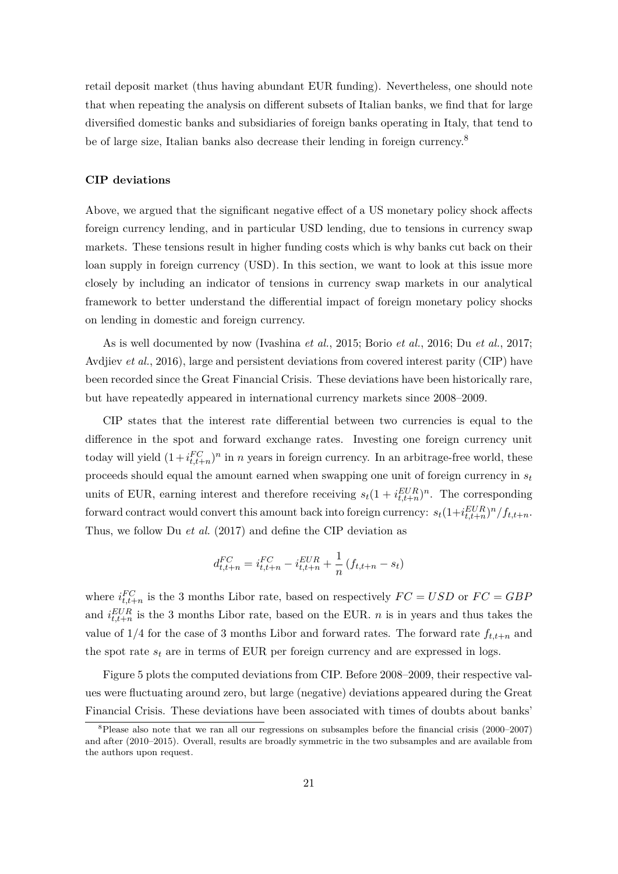retail deposit market (thus having abundant EUR funding). Nevertheless, one should note that when repeating the analysis on different subsets of Italian banks, we find that for large diversified domestic banks and subsidiaries of foreign banks operating in Italy, that tend to be of large size, Italian banks also decrease their lending in foreign currency.[8](#page-23-0)

#### **CIP deviations**

Above, we argued that the significant negative effect of a US monetary policy shock affects foreign currency lending, and in particular USD lending, due to tensions in currency swap markets. These tensions result in higher funding costs which is why banks cut back on their loan supply in foreign currency (USD). In this section, we want to look at this issue more closely by including an indicator of tensions in currency swap markets in our analytical framework to better understand the differential impact of foreign monetary policy shocks on lending in domestic and foreign currency.

As is well documented by now [\(Ivashina](#page-29-4) *et al.*, [2015;](#page-29-4) [Borio](#page-28-13) *et al.*, [2016;](#page-28-13) Du *[et al.](#page-29-13)*, [2017;](#page-29-13) [Avdjiev](#page-28-12) *et al.*, [2016\)](#page-28-12), large and persistent deviations from covered interest parity (CIP) have been recorded since the Great Financial Crisis. These deviations have been historically rare, but have repeatedly appeared in international currency markets since 2008–2009.

CIP states that the interest rate differential between two currencies is equal to the difference in the spot and forward exchange rates. Investing one foreign currency unit today will yield  $(1+i_{t,t+n}^{FC})^n$  in *n* years in foreign currency. In an arbitrage-free world, these proceeds should equal the amount earned when swapping one unit of foreign currency in *s<sup>t</sup>* units of EUR, earning interest and therefore receiving  $s_t(1 + i_{t,t+n}^{EUR})^n$ . The corresponding forward contract would convert this amount back into foreign currency:  $s_t(1+i_{t,t+n}^{EUR})^n/f_{t,t+n}$ . Thus, we follow Du *[et al.](#page-29-13)* [\(2017\)](#page-29-13) and define the CIP deviation as

$$
d_{t,t+n}^{FC} = i_{t,t+n}^{FC} - i_{t,t+n}^{EUR} + \frac{1}{n} (f_{t,t+n} - s_t)
$$

where  $i_{t,t+n}^{FC}$  is the 3 months Libor rate, based on respectively  $FC = USD$  or  $FC = GBF$ and  $i_{t,t+n}^{EUR}$  is the 3 months Libor rate, based on the EUR. *n* is in years and thus takes the value of  $1/4$  for the case of 3 months Libor and forward rates. The forward rate  $f_{t,t+n}$  and the spot rate  $s_t$  are in terms of EUR per foreign currency and are expressed in logs.

Figure [5](#page-24-0) plots the computed deviations from CIP. Before 2008–2009, their respective values were fluctuating around zero, but large (negative) deviations appeared during the Great Financial Crisis. These deviations have been associated with times of doubts about banks'

<span id="page-23-0"></span><sup>&</sup>lt;sup>8</sup>Please also note that we ran all our regressions on subsamples before the financial crisis (2000–2007) and after (2010–2015). Overall, results are broadly symmetric in the two subsamples and are available from the authors upon request.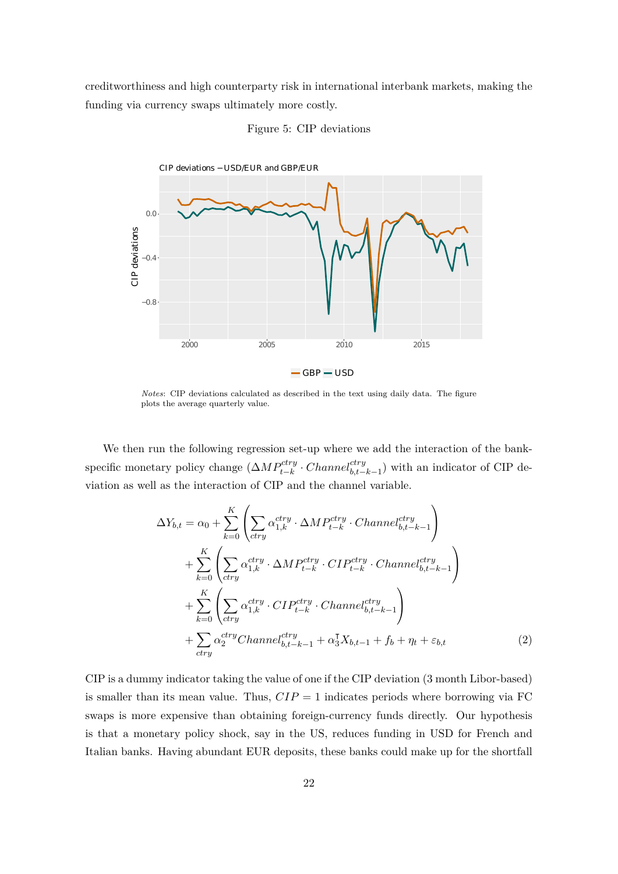<span id="page-24-0"></span>creditworthiness and high counterparty risk in international interbank markets, making the funding via currency swaps ultimately more costly.



Figure 5: CIP deviations

*Notes*: CIP deviations calculated as described in the text using daily data. The figure plots the average quarterly value.

We then run the following regression set-up where we add the interaction of the bankspecific monetary policy change  $(\Delta MP_{t-k}^{ctry} \cdot Channel_{b,t-k-1}^{ctry})$  with an indicator of CIP deviation as well as the interaction of CIP and the channel variable.

<span id="page-24-1"></span>
$$
\Delta Y_{b,t} = \alpha_0 + \sum_{k=0}^{K} \left( \sum_{ctry} \alpha_{1,k}^{ctry} \cdot \Delta MP_{t-k}^{ctry} \cdot Channel_{b,t-k-1}^{ctry} \right) \n+ \sum_{k=0}^{K} \left( \sum_{ctry} \alpha_{1,k}^{ctry} \cdot \Delta MP_{t-k}^{ctry} \cdot CIP_{t-k}^{ctry} \cdot Channel_{b,t-k-1}^{ctry} \right) \n+ \sum_{k=0}^{K} \left( \sum_{ctry} \alpha_{1,k}^{ctry} \cdot CIP_{t-k}^{ctry} \cdot Channel_{b,t-k-1}^{ctry} \right) \n+ \sum_{ctry} \alpha_2^{ctry} Channel_{b,t-k-1}^{ctry} + \alpha_3^{\mathsf{T}} X_{b,t-1} + f_b + \eta_t + \varepsilon_{b,t}
$$
\n(2)

CIP is a dummy indicator taking the value of one if the CIP deviation (3 month Libor-based) is smaller than its mean value. Thus,  $CIP = 1$  indicates periods where borrowing via FC swaps is more expensive than obtaining foreign-currency funds directly. Our hypothesis is that a monetary policy shock, say in the US, reduces funding in USD for French and Italian banks. Having abundant EUR deposits, these banks could make up for the shortfall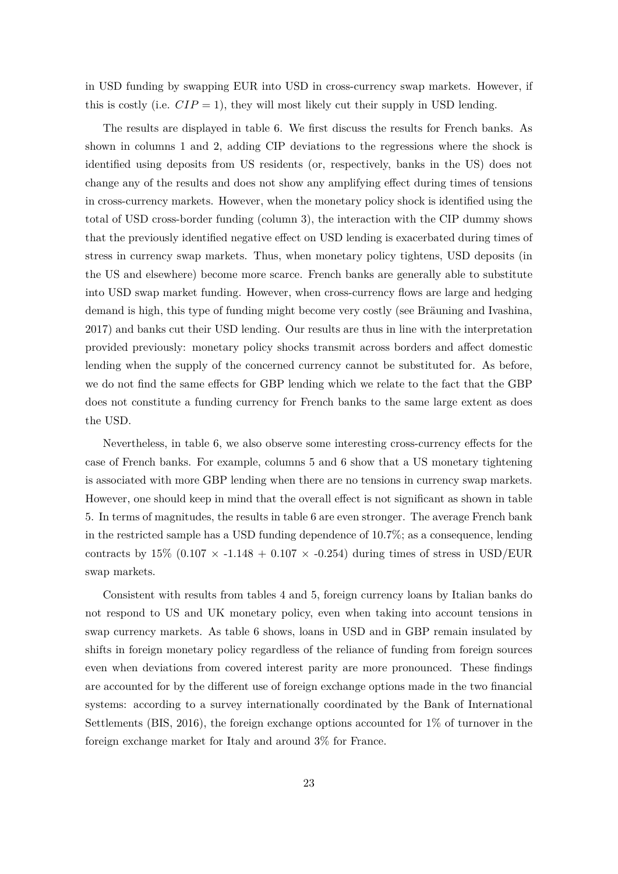in USD funding by swapping EUR into USD in cross-currency swap markets. However, if this is costly (i.e.  $CIP = 1$ ), they will most likely cut their supply in USD lending.

The results are displayed in table [6.](#page-26-0) We first discuss the results for French banks. As shown in columns 1 and 2, adding CIP deviations to the regressions where the shock is identified using deposits from US residents (or, respectively, banks in the US) does not change any of the results and does not show any amplifying effect during times of tensions in cross-currency markets. However, when the monetary policy shock is identified using the total of USD cross-border funding (column 3), the interaction with the CIP dummy shows that the previously identified negative effect on USD lending is exacerbated during times of stress in currency swap markets. Thus, when monetary policy tightens, USD deposits (in the US and elsewhere) become more scarce. French banks are generally able to substitute into USD swap market funding. However, when cross-currency flows are large and hedging demand is high, this type of funding might become very costly (see [Bräuning and Ivashina,](#page-28-11) [2017\)](#page-28-11) and banks cut their USD lending. Our results are thus in line with the interpretation provided previously: monetary policy shocks transmit across borders and affect domestic lending when the supply of the concerned currency cannot be substituted for. As before, we do not find the same effects for GBP lending which we relate to the fact that the GBP does not constitute a funding currency for French banks to the same large extent as does the USD.

Nevertheless, in table [6,](#page-26-0) we also observe some interesting cross-currency effects for the case of French banks. For example, columns 5 and 6 show that a US monetary tightening is associated with more GBP lending when there are no tensions in currency swap markets. However, one should keep in mind that the overall effect is not significant as shown in table [5.](#page-21-0) In terms of magnitudes, the results in table 6 are even stronger. The average French bank in the restricted sample has a USD funding dependence of 10.7%; as a consequence, lending contracts by 15% (0.107  $\times$  -1.148 + 0.107  $\times$  -0.254) during times of stress in USD/EUR swap markets.

Consistent with results from tables 4 and 5, foreign currency loans by Italian banks do not respond to US and UK monetary policy, even when taking into account tensions in swap currency markets. As table [6](#page-26-0) shows, loans in USD and in GBP remain insulated by shifts in foreign monetary policy regardless of the reliance of funding from foreign sources even when deviations from covered interest parity are more pronounced. These findings are accounted for by the different use of foreign exchange options made in the two financial systems: according to a survey internationally coordinated by the Bank of International Settlements [\(BIS,](#page-28-14) [2016\)](#page-28-14), the foreign exchange options accounted for 1% of turnover in the foreign exchange market for Italy and around 3% for France.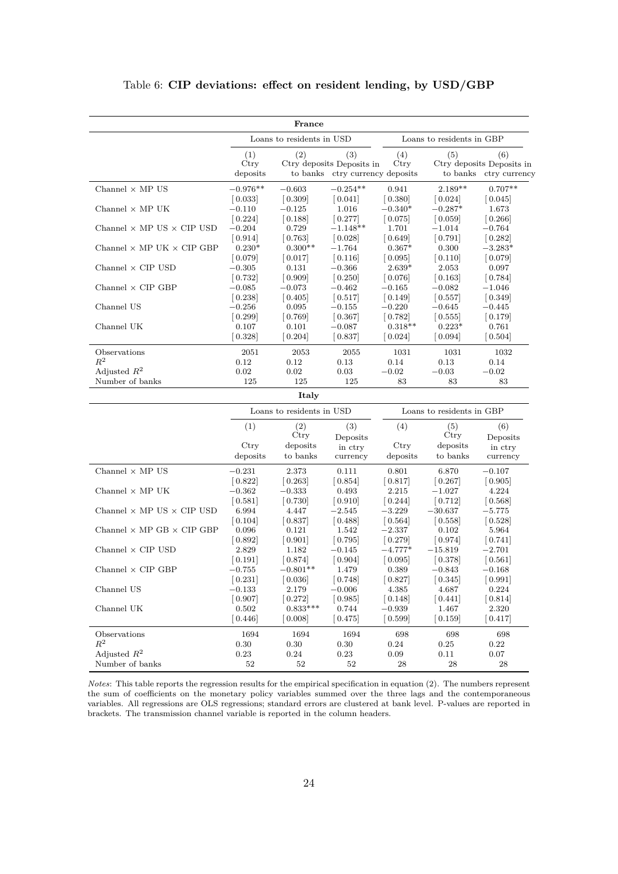|                                         |                                                          | France                                                    |                                                                     |                                                                            |                                                           |                                                            |
|-----------------------------------------|----------------------------------------------------------|-----------------------------------------------------------|---------------------------------------------------------------------|----------------------------------------------------------------------------|-----------------------------------------------------------|------------------------------------------------------------|
|                                         |                                                          | Loans to residents in USD                                 |                                                                     |                                                                            | Loans to residents in GBP                                 |                                                            |
|                                         | (1)<br>Ctry<br>deposits                                  | (2)                                                       | (3)<br>Ctry deposits Deposits in<br>to banks ctry currency deposits | (4)<br>Ctry                                                                | (5)                                                       | (6)<br>Ctry deposits Deposits in<br>to banks ctry currency |
| Channel $\times$ MP US                  | $-0.976**$                                               | $-0.603$                                                  | $-0.254**$                                                          | 0.941                                                                      | $2.189**$                                                 | $0.707**$                                                  |
| Channel $\times$ MP UK                  | $\left[0.033\right]$<br>$-0.110$<br>$\left[0.224\right]$ | $\left[0.309\right]$<br>$-0.125$<br>$\lceil 0.188 \rceil$ | [0.041]<br>1.016<br>$\left[0.277\right]$                            | $\left[0.380\right]$<br>$-0.340*$<br>$\begin{bmatrix} 0.075 \end{bmatrix}$ | $\left[0.024\right]$<br>$-0.287*$<br>$\left[0.059\right]$ | $\lceil 0.045 \rceil$<br>1.673<br>$\left[0.266\right]$     |
| Channel $\times$ MP US $\times$ CIP USD | $-0.204$                                                 | 0.729<br>$\lceil 0.763 \rceil$                            | $-1.148**$                                                          | 1.701                                                                      | $-1.014$                                                  | $-0.764$                                                   |
| Channel $\times$ MP UK $\times$ CIP GBP | $[0.914]$<br>$0.230*$<br>$[0.079]$                       | $0.300**$<br>$\left[0.017\right]$                         | $\left[0.028\right]$<br>$-1.764$<br>[0.116]                         | [0.649]<br>$0.367*$<br>[0.095]                                             | $[0.791]$<br>0.300<br>[0.110]                             | $\left[0.282\right]$<br>$-3.283*$<br>$\left[0.079\right]$  |
| Channel $\times$ CIP USD                | $-0.305$<br>$\left[0.732\right]$                         | 0.131<br>$\left[0.909\right]$                             | $-0.366$<br>$\left[0.250\right]$                                    | $2.639*$<br>$\left[0.076\right]$                                           | 2.053<br>[0.163]                                          | 0.097<br>[0.784]                                           |
| Channel $\times$ CIP GBP                | $-0.085$<br>$\left[0.238\right]$                         | $-0.073$<br>[0.405]                                       | $-0.462$<br>[0.517]                                                 | $-0.165$<br>$\left[0.149\right]$                                           | $-0.082$<br>[0.557]                                       | $-1.046$<br>$\left[0.349\right]$                           |
| Channel US                              | $-0.256$                                                 | 0.095                                                     | $-0.155$                                                            | $-0.220$                                                                   | $-0.645$                                                  | $-0.445$                                                   |
| Channel UK                              | $\lceil 0.299 \rceil$<br>0.107<br>$\left[0.328\right]$   | [0.769]<br>0.101<br>$\left[0.204\right]$                  | [0.367]<br>$-0.087$<br>[0.837]                                      | $\left[0.782\right]$<br>$0.318**$<br>$\left[0.024\right]$                  | [0.555]<br>$0.223*$<br>$\left[0.094\right]$               | [0.179]<br>0.761<br>$\left[0.504\right]$                   |
| Observations<br>$R^2$                   | 2051<br>0.12                                             | 2053<br>0.12                                              | 2055<br>0.13                                                        | 1031<br>0.14                                                               | 1031<br>0.13                                              | 1032<br>0.14                                               |
| Adjusted $R^2$                          | 0.02                                                     | 0.02                                                      | 0.03                                                                | $-0.02$                                                                    | $-0.03$                                                   | $-0.02$                                                    |
|                                         |                                                          |                                                           |                                                                     |                                                                            |                                                           |                                                            |
|                                         |                                                          | Italy                                                     |                                                                     |                                                                            |                                                           |                                                            |
| Number of banks                         | 125                                                      | 125                                                       | 125                                                                 | 83                                                                         | 83                                                        | 83                                                         |

<span id="page-26-0"></span>Table 6: **CIP deviations: effect on resident lending, by USD/GBP**

|                                         |                         | Italy                               |                                        |                         |                                     |                                        |
|-----------------------------------------|-------------------------|-------------------------------------|----------------------------------------|-------------------------|-------------------------------------|----------------------------------------|
|                                         |                         | Loans to residents in USD           |                                        |                         | Loans to residents in GBP           |                                        |
|                                         | (1)<br>Ctry<br>deposits | (2)<br>Ctry<br>deposits<br>to banks | (3)<br>Deposits<br>in ctry<br>currency | (4)<br>Ctry<br>deposits | (5)<br>Ctry<br>deposits<br>to banks | (6)<br>Deposits<br>in ctry<br>currency |
| Channel $\times$ MP US                  | $-0.231$                | 2.373                               | 0.111                                  | 0.801                   | 6.870                               | $-0.107$                               |
|                                         | $\left[0.822\right]$    | 0.263                               | 0.854                                  | 0.817                   | $\left[0.267\right]$                | $\left[0.905\right]$                   |
| Channel $\times$ MP UK                  | $-0.362$                | $-0.333$                            | 0.493                                  | 2.215                   | $-1.027$                            | 4.224                                  |
|                                         | [0.581]                 | [0.730]                             | $\left[0.910\right]$                   | $\left[0.244\right]$    | $\left[0.712\right]$                | [0.568]                                |
| Channel $\times$ MP US $\times$ CIP USD | 6.994                   | 4.447                               | $-2.545$                               | $-3.229$                | $-30.637$                           | $-5.775$                               |
|                                         | $\left[0.104\right]$    | $\left[0.837\right]$                | $\left[0.488\right]$                   | 0.564                   | $\left[0.558\right]$                | $\left[0.528\right]$                   |
| Channel $\times$ MP GB $\times$ CIP GBP | 0.096                   | 0.121                               | 1.542                                  | $-2.337$                | 0.102                               | 5.964                                  |
|                                         | $\lceil 0.892 \rceil$   | 0.901                               | $\left[0.795\right]$                   | 0.279                   | $\lceil 0.974 \rceil$               | [0.741]                                |
| Channel $\times$ CIP USD                | 2.829                   | 1.182                               | $-0.145$                               | $-4.777*$               | $-15.819$                           | $-2.701$                               |
|                                         | $\lceil 0.191 \rceil$   | [0.874]                             | $\left[0.904\right]$                   | $\left[0.095\right]$    | [0.378]                             | $\left[0.561\right]$                   |
| Channel $\times$ CIP GBP                | $-0.755$                | $-0.801**$                          | 1.479                                  | 0.389                   | $-0.843$                            | $-0.168$                               |
|                                         | $\left[0.231\right]$    | $\left[0.036\right]$                | $\left[0.748\right]$                   | 0.827                   | [0.345]                             | $\lceil 0.991 \rceil$                  |
| Channel US                              | $-0.133$                | 2.179                               | $-0.006$                               | 4.385                   | 4.687                               | 0.224                                  |
|                                         | $\left[0.907\right]$    | 0.272                               | $\left[0.985\right]$                   | 0.148                   | $\left[0.441\right]$                | $\left[0.814\right]$                   |
| Channel UK                              | 0.502                   | $0.833***$                          | 0.744                                  | $-0.939$                | 1.467                               | 2.320                                  |
|                                         | [0.446]                 | $\lceil 0.008 \rceil$               | $\left[0.475\right]$                   | $\left[0.599\right]$    | $\left[0.159\right]$                | $\left[0.417\right]$                   |
| Observations                            | 1694                    | 1694                                | 1694                                   | 698                     | 698                                 | 698                                    |
| $R^2$                                   | 0.30                    | 0.30                                | 0.30                                   | 0.24                    | 0.25                                | 0.22                                   |
| Adjusted $R^2$                          | 0.23                    | 0.24                                | 0.23                                   | 0.09                    | 0.11                                | 0.07                                   |
| Number of banks                         | 52                      | 52                                  | 52                                     | 28                      | 28                                  | 28                                     |

*Notes*: This table reports the regression results for the empirical specification in equation [\(2\)](#page-24-1). The numbers represent the sum of coefficients on the monetary policy variables summed over the three lags and the contemporaneous variables. All regressions are OLS regressions; standard errors are clustered at bank level. P-values are reported in brackets. The transmission channel variable is reported in the column headers.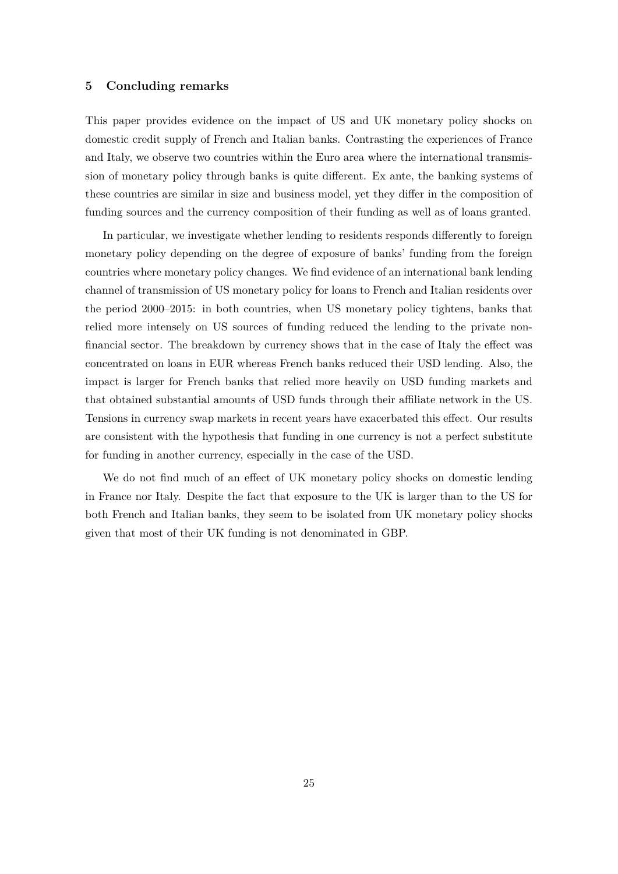#### **5 Concluding remarks**

This paper provides evidence on the impact of US and UK monetary policy shocks on domestic credit supply of French and Italian banks. Contrasting the experiences of France and Italy, we observe two countries within the Euro area where the international transmission of monetary policy through banks is quite different. Ex ante, the banking systems of these countries are similar in size and business model, yet they differ in the composition of funding sources and the currency composition of their funding as well as of loans granted.

In particular, we investigate whether lending to residents responds differently to foreign monetary policy depending on the degree of exposure of banks' funding from the foreign countries where monetary policy changes. We find evidence of an international bank lending channel of transmission of US monetary policy for loans to French and Italian residents over the period 2000–2015: in both countries, when US monetary policy tightens, banks that relied more intensely on US sources of funding reduced the lending to the private nonfinancial sector. The breakdown by currency shows that in the case of Italy the effect was concentrated on loans in EUR whereas French banks reduced their USD lending. Also, the impact is larger for French banks that relied more heavily on USD funding markets and that obtained substantial amounts of USD funds through their affiliate network in the US. Tensions in currency swap markets in recent years have exacerbated this effect. Our results are consistent with the hypothesis that funding in one currency is not a perfect substitute for funding in another currency, especially in the case of the USD.

We do not find much of an effect of UK monetary policy shocks on domestic lending in France nor Italy. Despite the fact that exposure to the UK is larger than to the US for both French and Italian banks, they seem to be isolated from UK monetary policy shocks given that most of their UK funding is not denominated in GBP.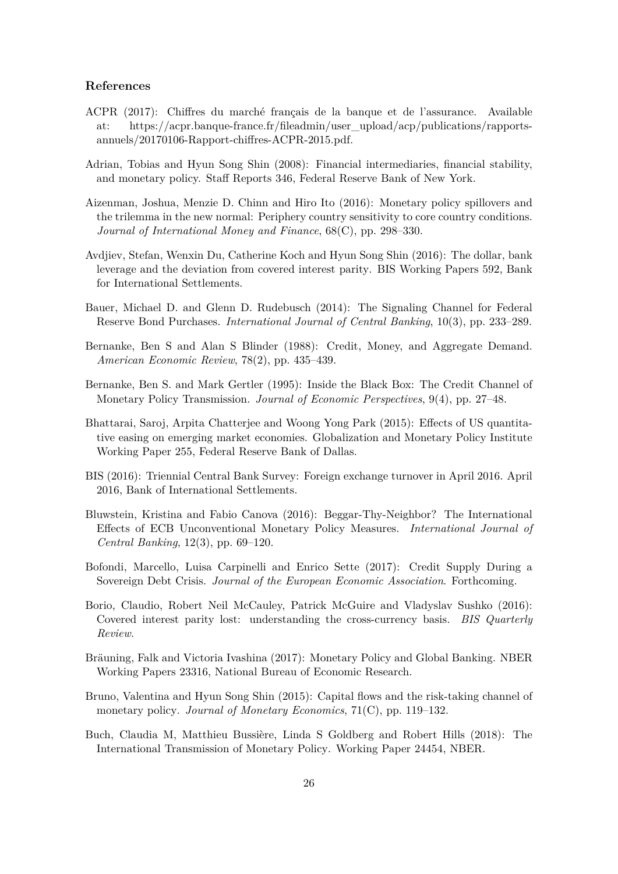#### **References**

- <span id="page-28-9"></span>ACPR (2017): Chiffres du marché français de la banque et de l'assurance. Available at: [https://acpr.banque-france.fr/fileadmin/user\\_upload/acp/publications/rapports](https://acpr.banque-france.fr/fileadmin/user_upload/acp/publications/rapports-annuels/20170106-Rapport-chiffres-ACPR-2015.pdf)[annuels/20170106-Rapport-chiffres-ACPR-2015.pdf.](https://acpr.banque-france.fr/fileadmin/user_upload/acp/publications/rapports-annuels/20170106-Rapport-chiffres-ACPR-2015.pdf)
- <span id="page-28-3"></span>Adrian, Tobias and Hyun Song Shin (2008): Financial intermediaries, financial stability, and monetary policy. Staff Reports 346, Federal Reserve Bank of New York.
- <span id="page-28-6"></span>Aizenman, Joshua, Menzie D. Chinn and Hiro Ito (2016): Monetary policy spillovers and the trilemma in the new normal: Periphery country sensitivity to core country conditions. *Journal of International Money and Finance*, 68(C), pp. 298–330.
- <span id="page-28-12"></span>Avdjiev, Stefan, Wenxin Du, Catherine Koch and Hyun Song Shin (2016): The dollar, bank leverage and the deviation from covered interest parity. BIS Working Papers 592, Bank for International Settlements.
- <span id="page-28-4"></span>Bauer, Michael D. and Glenn D. Rudebusch (2014): The Signaling Channel for Federal Reserve Bond Purchases. *International Journal of Central Banking*, 10(3), pp. 233–289.
- <span id="page-28-1"></span>Bernanke, Ben S and Alan S Blinder (1988): Credit, Money, and Aggregate Demand. *American Economic Review*, 78(2), pp. 435–439.
- <span id="page-28-2"></span>Bernanke, Ben S. and Mark Gertler (1995): Inside the Black Box: The Credit Channel of Monetary Policy Transmission. *Journal of Economic Perspectives*, 9(4), pp. 27–48.
- <span id="page-28-7"></span>Bhattarai, Saroj, Arpita Chatterjee and Woong Yong Park (2015): Effects of US quantitative easing on emerging market economies. Globalization and Monetary Policy Institute Working Paper 255, Federal Reserve Bank of Dallas.
- <span id="page-28-14"></span>BIS (2016): Triennial Central Bank Survey: Foreign exchange turnover in April 2016. April 2016, Bank of International Settlements.
- <span id="page-28-8"></span>Bluwstein, Kristina and Fabio Canova (2016): Beggar-Thy-Neighbor? The International Effects of ECB Unconventional Monetary Policy Measures. *International Journal of Central Banking*, 12(3), pp. 69–120.
- <span id="page-28-10"></span>Bofondi, Marcello, Luisa Carpinelli and Enrico Sette (2017): Credit Supply During a Sovereign Debt Crisis. *Journal of the European Economic Association*. Forthcoming.
- <span id="page-28-13"></span>Borio, Claudio, Robert Neil McCauley, Patrick McGuire and Vladyslav Sushko (2016): Covered interest parity lost: understanding the cross-currency basis. *BIS Quarterly Review*.
- <span id="page-28-11"></span>Bräuning, Falk and Victoria Ivashina (2017): Monetary Policy and Global Banking. NBER Working Papers 23316, National Bureau of Economic Research.
- <span id="page-28-5"></span>Bruno, Valentina and Hyun Song Shin (2015): Capital flows and the risk-taking channel of monetary policy. *Journal of Monetary Economics*, 71(C), pp. 119–132.
- <span id="page-28-0"></span>Buch, Claudia M, Matthieu Bussière, Linda S Goldberg and Robert Hills (2018): The International Transmission of Monetary Policy. Working Paper 24454, NBER.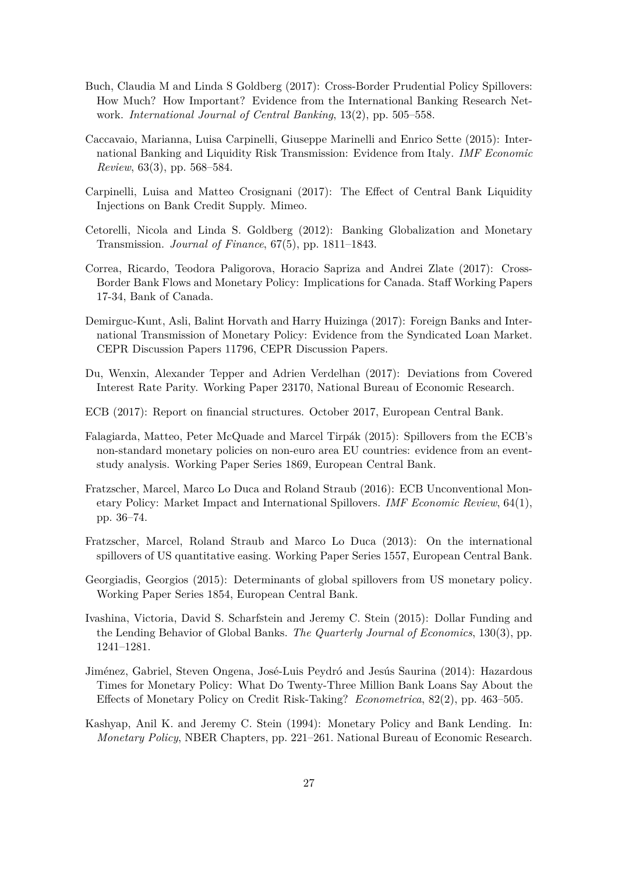- Buch, Claudia M and Linda S Goldberg (2017): Cross-Border Prudential Policy Spillovers: How Much? How Important? Evidence from the International Banking Research Network. *International Journal of Central Banking*, 13(2), pp. 505–558.
- <span id="page-29-11"></span>Caccavaio, Marianna, Luisa Carpinelli, Giuseppe Marinelli and Enrico Sette (2015): International Banking and Liquidity Risk Transmission: Evidence from Italy. *IMF Economic Review*, 63(3), pp. 568–584.
- <span id="page-29-12"></span>Carpinelli, Luisa and Matteo Crosignani (2017): The Effect of Central Bank Liquidity Injections on Bank Credit Supply. Mimeo.
- <span id="page-29-3"></span>Cetorelli, Nicola and Linda S. Goldberg (2012): Banking Globalization and Monetary Transmission. *Journal of Finance*, 67(5), pp. 1811–1843.
- <span id="page-29-5"></span>Correa, Ricardo, Teodora Paligorova, Horacio Sapriza and Andrei Zlate (2017): Cross-Border Bank Flows and Monetary Policy: Implications for Canada. Staff Working Papers 17-34, Bank of Canada.
- <span id="page-29-6"></span>Demirguc-Kunt, Asli, Balint Horvath and Harry Huizinga (2017): Foreign Banks and International Transmission of Monetary Policy: Evidence from the Syndicated Loan Market. CEPR Discussion Papers 11796, CEPR Discussion Papers.
- <span id="page-29-13"></span>Du, Wenxin, Alexander Tepper and Adrien Verdelhan (2017): Deviations from Covered Interest Rate Parity. Working Paper 23170, National Bureau of Economic Research.
- <span id="page-29-1"></span>ECB (2017): Report on financial structures. October 2017, European Central Bank.
- <span id="page-29-10"></span>Falagiarda, Matteo, Peter McQuade and Marcel Tirpák (2015): Spillovers from the ECB's non-standard monetary policies on non-euro area EU countries: evidence from an eventstudy analysis. Working Paper Series 1869, European Central Bank.
- <span id="page-29-9"></span>Fratzscher, Marcel, Marco Lo Duca and Roland Straub (2016): ECB Unconventional Monetary Policy: Market Impact and International Spillovers. *IMF Economic Review*, 64(1), pp. 36–74.
- <span id="page-29-8"></span>Fratzscher, Marcel, Roland Straub and Marco Lo Duca (2013): On the international spillovers of US quantitative easing. Working Paper Series 1557, European Central Bank.
- <span id="page-29-7"></span>Georgiadis, Georgios (2015): Determinants of global spillovers from US monetary policy. Working Paper Series 1854, European Central Bank.
- <span id="page-29-4"></span>Ivashina, Victoria, David S. Scharfstein and Jeremy C. Stein (2015): Dollar Funding and the Lending Behavior of Global Banks. *The Quarterly Journal of Economics*, 130(3), pp. 1241–1281.
- <span id="page-29-2"></span>Jiménez, Gabriel, Steven Ongena, José-Luis Peydró and Jesús Saurina (2014): Hazardous Times for Monetary Policy: What Do Twenty-Three Million Bank Loans Say About the Effects of Monetary Policy on Credit Risk-Taking? *Econometrica*, 82(2), pp. 463–505.
- <span id="page-29-0"></span>Kashyap, Anil K. and Jeremy C. Stein (1994): Monetary Policy and Bank Lending. In: *Monetary Policy*, NBER Chapters, pp. 221–261. National Bureau of Economic Research.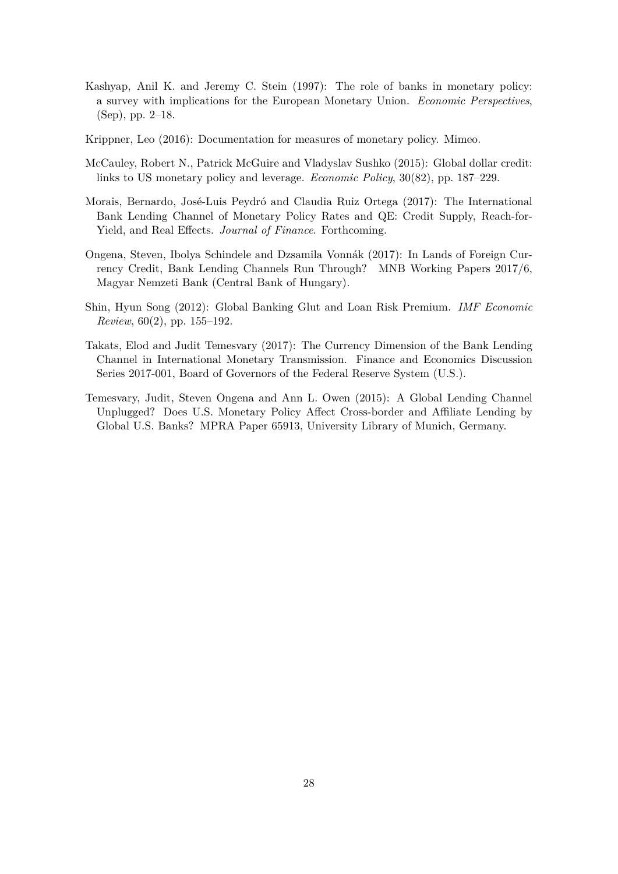- <span id="page-30-0"></span>Kashyap, Anil K. and Jeremy C. Stein (1997): The role of banks in monetary policy: a survey with implications for the European Monetary Union. *Economic Perspectives*, (Sep), pp. 2–18.
- <span id="page-30-5"></span>Krippner, Leo (2016): Documentation for measures of monetary policy. Mimeo.
- <span id="page-30-4"></span>McCauley, Robert N., Patrick McGuire and Vladyslav Sushko (2015): Global dollar credit: links to US monetary policy and leverage. *Economic Policy*, 30(82), pp. 187–229.
- <span id="page-30-1"></span>Morais, Bernardo, José-Luis Peydró and Claudia Ruiz Ortega (2017): The International Bank Lending Channel of Monetary Policy Rates and QE: Credit Supply, Reach-for-Yield, and Real Effects. *Journal of Finance*. Forthcoming.
- <span id="page-30-2"></span>Ongena, Steven, Ibolya Schindele and Dzsamila Vonnák (2017): In Lands of Foreign Currency Credit, Bank Lending Channels Run Through? MNB Working Papers 2017/6, Magyar Nemzeti Bank (Central Bank of Hungary).
- <span id="page-30-6"></span>Shin, Hyun Song (2012): Global Banking Glut and Loan Risk Premium. *IMF Economic Review*, 60(2), pp. 155–192.
- <span id="page-30-3"></span>Takats, Elod and Judit Temesvary (2017): The Currency Dimension of the Bank Lending Channel in International Monetary Transmission. Finance and Economics Discussion Series 2017-001, Board of Governors of the Federal Reserve System (U.S.).
- Temesvary, Judit, Steven Ongena and Ann L. Owen (2015): A Global Lending Channel Unplugged? Does U.S. Monetary Policy Affect Cross-border and Affiliate Lending by Global U.S. Banks? MPRA Paper 65913, University Library of Munich, Germany.